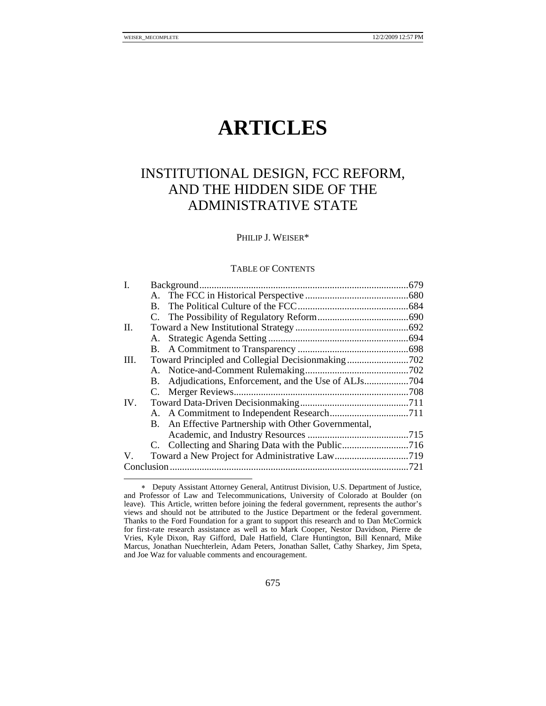# **ARTICLES**

# INSTITUTIONAL DESIGN, FCC REFORM, AND THE HIDDEN SIDE OF THE ADMINISTRATIVE STATE

PHILIP J. WEISER\*

#### TABLE OF CONTENTS

| П.                                                   |  |
|------------------------------------------------------|--|
|                                                      |  |
|                                                      |  |
| Ш.                                                   |  |
|                                                      |  |
| В.                                                   |  |
|                                                      |  |
| IV.                                                  |  |
|                                                      |  |
| B. An Effective Partnership with Other Governmental, |  |
|                                                      |  |
|                                                      |  |
| V.                                                   |  |
|                                                      |  |

<sup>∗</sup> Deputy Assistant Attorney General, Antitrust Division, U.S. Department of Justice, and Professor of Law and Telecommunications, University of Colorado at Boulder (on leave). This Article, written before joining the federal government, represents the author's views and should not be attributed to the Justice Department or the federal government. Thanks to the Ford Foundation for a grant to support this research and to Dan McCormick for first-rate research assistance as well as to Mark Cooper, Nestor Davidson, Pierre de Vries, Kyle Dixon, Ray Gifford, Dale Hatfield, Clare Huntington, Bill Kennard, Mike Marcus, Jonathan Nuechterlein, Adam Peters, Jonathan Sallet, Cathy Sharkey, Jim Speta, and Joe Waz for valuable comments and encouragement.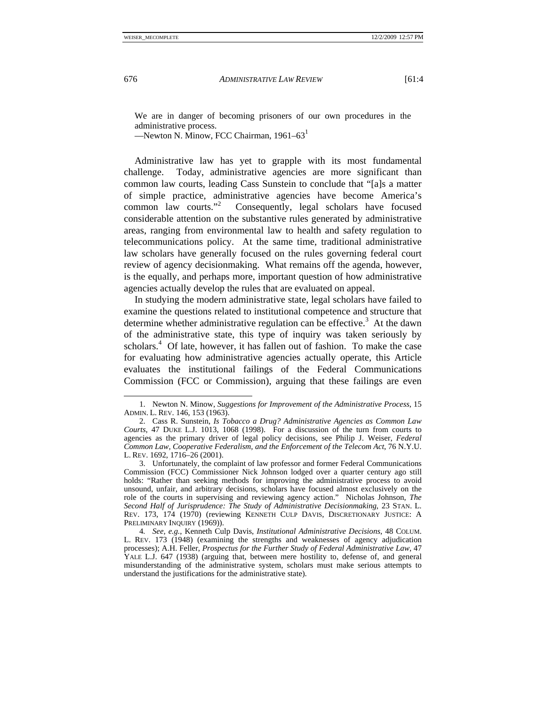We are in danger of becoming prisoners of our own procedures in the administrative process.

—Newton N. Minow, FCC Chairman, 1961–631

Administrative law has yet to grapple with its most fundamental challenge. Today, administrative agencies are more significant than common law courts, leading Cass Sunstein to conclude that "[a]s a matter of simple practice, administrative agencies have become America's common law courts."<sup>2</sup> Consequently, legal scholars have focused considerable attention on the substantive rules generated by administrative areas, ranging from environmental law to health and safety regulation to telecommunications policy. At the same time, traditional administrative law scholars have generally focused on the rules governing federal court review of agency decisionmaking. What remains off the agenda, however, is the equally, and perhaps more, important question of how administrative agencies actually develop the rules that are evaluated on appeal.

In studying the modern administrative state, legal scholars have failed to examine the questions related to institutional competence and structure that determine whether administrative regulation can be effective.<sup>3</sup> At the dawn of the administrative state, this type of inquiry was taken seriously by scholars.<sup>4</sup> Of late, however, it has fallen out of fashion. To make the case for evaluating how administrative agencies actually operate, this Article evaluates the institutional failings of the Federal Communications Commission (FCC or Commission), arguing that these failings are even

 <sup>1.</sup> Newton N. Minow, *Suggestions for Improvement of the Administrative Process*, 15 ADMIN. L. REV. 146, 153 (1963).

 <sup>2.</sup> Cass R. Sunstein, *Is Tobacco a Drug? Administrative Agencies as Common Law Courts*, 47 DUKE L.J. 1013, 1068 (1998). For a discussion of the turn from courts to agencies as the primary driver of legal policy decisions, see Philip J. Weiser, *Federal Common Law, Cooperative Federalism, and the Enforcement of the Telecom Act*, 76 N.Y.U. L. REV. 1692, 1716–26 (2001).

 <sup>3.</sup> Unfortunately, the complaint of law professor and former Federal Communications Commission (FCC) Commissioner Nick Johnson lodged over a quarter century ago still holds: "Rather than seeking methods for improving the administrative process to avoid unsound, unfair, and arbitrary decisions, scholars have focused almost exclusively on the role of the courts in supervising and reviewing agency action." Nicholas Johnson, *The Second Half of Jurisprudence: The Study of Administrative Decisionmaking*, 23 STAN. L. REV. 173, 174 (1970) (reviewing KENNETH CULP DAVIS, DISCRETIONARY JUSTICE: A PRELIMINARY INQUIRY (1969)).

<sup>4</sup>*. See, e.g.*, Kenneth Culp Davis, *Institutional Administrative Decisions*, 48 COLUM. L. REV. 173 (1948) (examining the strengths and weaknesses of agency adjudication processes); A.H. Feller, *Prospectus for the Further Study of Federal Administrative Law*, 47 YALE L.J. 647 (1938) (arguing that, between mere hostility to, defense of, and general misunderstanding of the administrative system, scholars must make serious attempts to understand the justifications for the administrative state).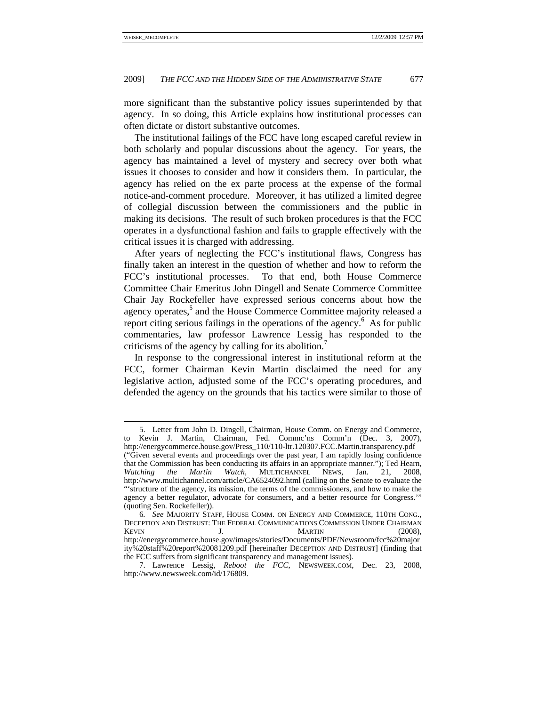more significant than the substantive policy issues superintended by that agency. In so doing, this Article explains how institutional processes can often dictate or distort substantive outcomes.

The institutional failings of the FCC have long escaped careful review in both scholarly and popular discussions about the agency. For years, the agency has maintained a level of mystery and secrecy over both what issues it chooses to consider and how it considers them. In particular, the agency has relied on the ex parte process at the expense of the formal notice-and-comment procedure. Moreover, it has utilized a limited degree of collegial discussion between the commissioners and the public in making its decisions. The result of such broken procedures is that the FCC operates in a dysfunctional fashion and fails to grapple effectively with the critical issues it is charged with addressing.

After years of neglecting the FCC's institutional flaws, Congress has finally taken an interest in the question of whether and how to reform the FCC's institutional processes. To that end, both House Commerce Committee Chair Emeritus John Dingell and Senate Commerce Committee Chair Jay Rockefeller have expressed serious concerns about how the agency operates,<sup>5</sup> and the House Commerce Committee majority released a report citing serious failings in the operations of the agency.<sup>6</sup> As for public commentaries, law professor Lawrence Lessig has responded to the criticisms of the agency by calling for its abolition.<sup>7</sup>

In response to the congressional interest in institutional reform at the FCC, former Chairman Kevin Martin disclaimed the need for any legislative action, adjusted some of the FCC's operating procedures, and defended the agency on the grounds that his tactics were similar to those of

 <sup>5.</sup> Letter from John D. Dingell, Chairman, House Comm. on Energy and Commerce, to Kevin J. Martin, Chairman, Fed. Commc'ns Comm'n (Dec. 3, 2007),

http://energycommerce.house.gov/Press\_110/110-ltr.120307.FCC.Martin.transparency.pdf ("Given several events and proceedings over the past year, I am rapidly losing confidence that the Commission has been conducting its affairs in an appropriate manner."); Ted Hearn, Watching the Martin Watch, MULTICHANNEL NEWS, Jan. 21, 2008, *Watching the Martin Watch*, MULTICHANNEL NEWS, Jan. 21, 2008, http://www.multichannel.com/article/CA6524092.html (calling on the Senate to evaluate the "'structure of the agency, its mission, the terms of the commissioners, and how to make the agency a better regulator, advocate for consumers, and a better resource for Congress.'" (quoting Sen. Rockefeller)).

<sup>6</sup>*. See* MAJORITY STAFF, HOUSE COMM. ON ENERGY AND COMMERCE, 110TH CONG., DECEPTION AND DISTRUST: THE FEDERAL COMMUNICATIONS COMMISSION UNDER CHAIRMAN KEVIN J. MARTIN (2008), http://energycommerce.house.gov/images/stories/Documents/PDF/Newsroom/fcc%20major ity%20staff%20report%20081209.pdf [hereinafter DECEPTION AND DISTRUST] (finding that the FCC suffers from significant transparency and management issues).

 <sup>7.</sup> Lawrence Lessig, *Reboot the FCC*, NEWSWEEK.COM, Dec. 23, 2008, http://www.newsweek.com/id/176809.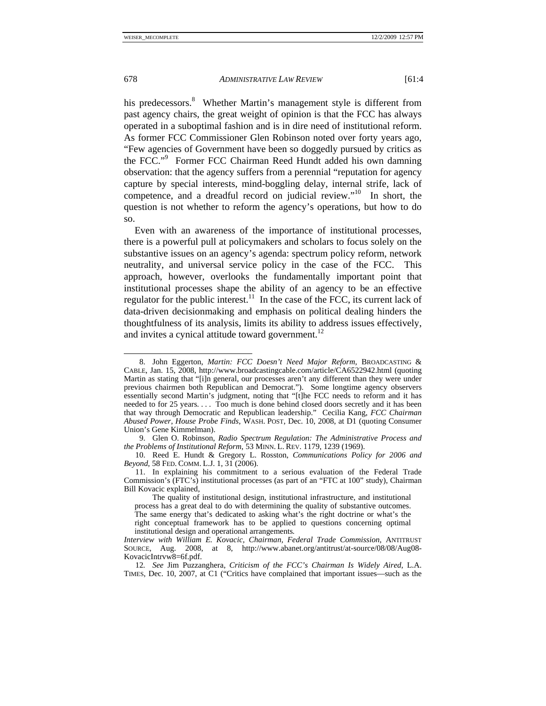his predecessors.<sup>8</sup> Whether Martin's management style is different from past agency chairs, the great weight of opinion is that the FCC has always operated in a suboptimal fashion and is in dire need of institutional reform. As former FCC Commissioner Glen Robinson noted over forty years ago, "Few agencies of Government have been so doggedly pursued by critics as the FCC."<sup>9</sup> Former FCC Chairman Reed Hundt added his own damning observation: that the agency suffers from a perennial "reputation for agency capture by special interests, mind-boggling delay, internal strife, lack of competence, and a dreadful record on judicial review."<sup>10</sup> In short, the question is not whether to reform the agency's operations, but how to do

Even with an awareness of the importance of institutional processes, there is a powerful pull at policymakers and scholars to focus solely on the substantive issues on an agency's agenda: spectrum policy reform, network neutrality, and universal service policy in the case of the FCC. This approach, however, overlooks the fundamentally important point that institutional processes shape the ability of an agency to be an effective regulator for the public interest.<sup>11</sup> In the case of the FCC, its current lack of data-driven decisionmaking and emphasis on political dealing hinders the thoughtfulness of its analysis, limits its ability to address issues effectively, and invites a cynical attitude toward government. $^{12}$ 

so.

 $\overline{a}$  8. John Eggerton, *Martin: FCC Doesn't Need Major Reform*, BROADCASTING & CABLE, Jan. 15, 2008, http://www.broadcastingcable.com/article/CA6522942.html (quoting Martin as stating that "[i]n general, our processes aren't any different than they were under previous chairmen both Republican and Democrat."). Some longtime agency observers essentially second Martin's judgment, noting that "[t]he FCC needs to reform and it has needed to for 25 years. . . . Too much is done behind closed doors secretly and it has been that way through Democratic and Republican leadership." Cecilia Kang, *FCC Chairman Abused Power, House Probe Finds*, WASH. POST, Dec. 10, 2008, at D1 (quoting Consumer Union's Gene Kimmelman).

 <sup>9.</sup> Glen O. Robinson, *Radio Spectrum Regulation: The Administrative Process and the Problems of Institutional Reform*, 53 MINN. L. REV. 1179, 1239 (1969).

 <sup>10.</sup> Reed E. Hundt & Gregory L. Rosston, *Communications Policy for 2006 and Beyond*, 58 FED. COMM. L.J. 1, 31 (2006).

 <sup>11.</sup> In explaining his commitment to a serious evaluation of the Federal Trade Commission's (FTC's) institutional processes (as part of an "FTC at 100" study), Chairman Bill Kovacic explained,

The quality of institutional design, institutional infrastructure, and institutional process has a great deal to do with determining the quality of substantive outcomes. The same energy that's dedicated to asking what's the right doctrine or what's the right conceptual framework has to be applied to questions concerning optimal institutional design and operational arrangements*.* 

*Interview with William E. Kovacic, Chairman, Federal Trade Commission*, ANTITRUST SOURCE, Aug. 2008, at 8, http://www.abanet.org/antitrust/at-source/08/08/Aug08- KovacicIntrvw8=6f.pdf.

<sup>12</sup>*. See* Jim Puzzanghera, *Criticism of the FCC's Chairman Is Widely Aired*, L.A. TIMES, Dec. 10, 2007, at C1 ("Critics have complained that important issues—such as the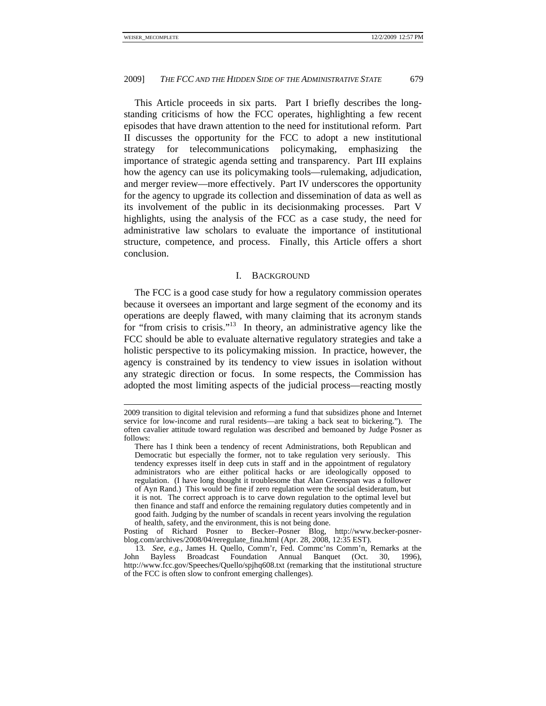This Article proceeds in six parts. Part I briefly describes the longstanding criticisms of how the FCC operates, highlighting a few recent episodes that have drawn attention to the need for institutional reform. Part II discusses the opportunity for the FCC to adopt a new institutional strategy for telecommunications policymaking, emphasizing the importance of strategic agenda setting and transparency. Part III explains how the agency can use its policymaking tools—rulemaking, adjudication, and merger review—more effectively. Part IV underscores the opportunity for the agency to upgrade its collection and dissemination of data as well as its involvement of the public in its decisionmaking processes. Part V highlights, using the analysis of the FCC as a case study, the need for administrative law scholars to evaluate the importance of institutional structure, competence, and process. Finally, this Article offers a short conclusion.

#### I. BACKGROUND

The FCC is a good case study for how a regulatory commission operates because it oversees an important and large segment of the economy and its operations are deeply flawed, with many claiming that its acronym stands for "from crisis to crisis."<sup>13</sup> In theory, an administrative agency like the FCC should be able to evaluate alternative regulatory strategies and take a holistic perspective to its policymaking mission. In practice, however, the agency is constrained by its tendency to view issues in isolation without any strategic direction or focus. In some respects, the Commission has adopted the most limiting aspects of the judicial process—reacting mostly

 <sup>2009</sup> transition to digital television and reforming a fund that subsidizes phone and Internet service for low-income and rural residents—are taking a back seat to bickering."). The often cavalier attitude toward regulation was described and bemoaned by Judge Posner as follows:

There has I think been a tendency of recent Administrations, both Republican and Democratic but especially the former, not to take regulation very seriously. This tendency expresses itself in deep cuts in staff and in the appointment of regulatory administrators who are either political hacks or are ideologically opposed to regulation. (I have long thought it troublesome that Alan Greenspan was a follower of Ayn Rand.) This would be fine if zero regulation were the social desideratum, but it is not. The correct approach is to carve down regulation to the optimal level but then finance and staff and enforce the remaining regulatory duties competently and in good faith. Judging by the number of scandals in recent years involving the regulation of health, safety, and the environment, this is not being done.

Posting of Richard Posner to Becker–Posner Blog, http://www.becker-posnerblog.com/archives/2008/04/reregulate\_fina.html (Apr. 28, 2008, 12:35 EST).

<sup>13</sup>*. See, e.g.*, James H. Quello, Comm'r, Fed. Commc'ns Comm'n, Remarks at the John Bayless Broadcast Foundation Annual Banquet (Oct. 30, 1996), http://www.fcc.gov/Speeches/Quello/spjhq608.txt (remarking that the institutional structure of the FCC is often slow to confront emerging challenges).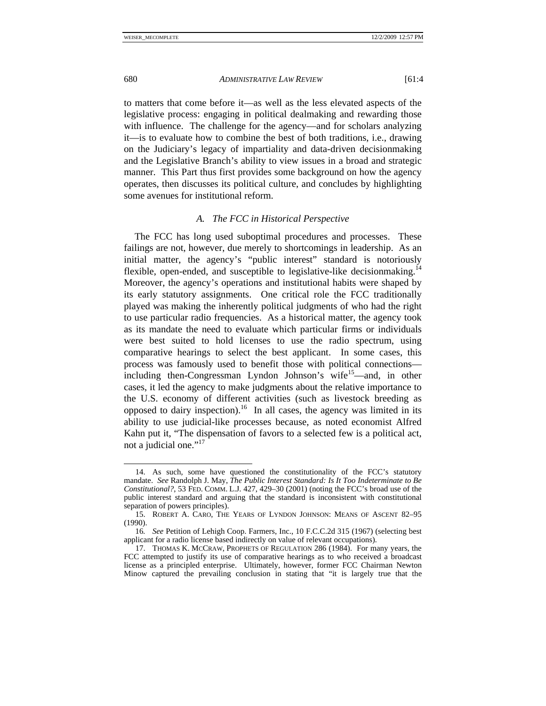to matters that come before it—as well as the less elevated aspects of the legislative process: engaging in political dealmaking and rewarding those with influence. The challenge for the agency—and for scholars analyzing it—is to evaluate how to combine the best of both traditions, i.e., drawing on the Judiciary's legacy of impartiality and data-driven decisionmaking and the Legislative Branch's ability to view issues in a broad and strategic manner. This Part thus first provides some background on how the agency operates, then discusses its political culture, and concludes by highlighting some avenues for institutional reform.

# *A. The FCC in Historical Perspective*

The FCC has long used suboptimal procedures and processes. These failings are not, however, due merely to shortcomings in leadership. As an initial matter, the agency's "public interest" standard is notoriously flexible, open-ended, and susceptible to legislative-like decision making.<sup>14</sup> Moreover, the agency's operations and institutional habits were shaped by its early statutory assignments. One critical role the FCC traditionally played was making the inherently political judgments of who had the right to use particular radio frequencies. As a historical matter, the agency took as its mandate the need to evaluate which particular firms or individuals were best suited to hold licenses to use the radio spectrum, using comparative hearings to select the best applicant. In some cases, this process was famously used to benefit those with political connections including then-Congressman Lyndon Johnson's wife<sup>15</sup>—and, in other cases, it led the agency to make judgments about the relative importance to the U.S. economy of different activities (such as livestock breeding as opposed to dairy inspection).<sup>16</sup> In all cases, the agency was limited in its ability to use judicial-like processes because, as noted economist Alfred Kahn put it, "The dispensation of favors to a selected few is a political act, not a judicial one."<sup>17</sup>

 <sup>14.</sup> As such, some have questioned the constitutionality of the FCC's statutory mandate. *See* Randolph J. May, *The Public Interest Standard: Is It Too Indeterminate to Be Constitutional?*, 53 FED. COMM. L.J. 427, 429–30 (2001) (noting the FCC's broad use of the public interest standard and arguing that the standard is inconsistent with constitutional separation of powers principles).

 <sup>15.</sup> ROBERT A. CARO, THE YEARS OF LYNDON JOHNSON: MEANS OF ASCENT 82–95 (1990).

<sup>16</sup>*. See* Petition of Lehigh Coop. Farmers, Inc., 10 F.C.C.2d 315 (1967) (selecting best applicant for a radio license based indirectly on value of relevant occupations).

 <sup>17.</sup> THOMAS K. MCCRAW, PROPHETS OF REGULATION 286 (1984). For many years, the FCC attempted to justify its use of comparative hearings as to who received a broadcast license as a principled enterprise. Ultimately, however, former FCC Chairman Newton Minow captured the prevailing conclusion in stating that "it is largely true that the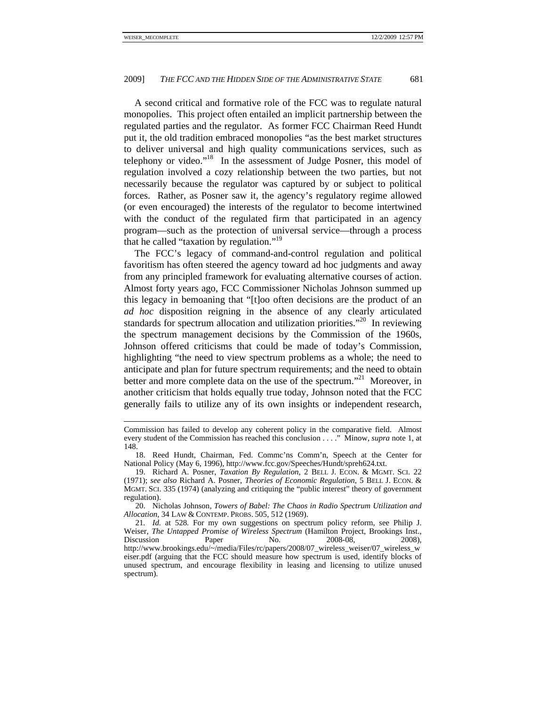A second critical and formative role of the FCC was to regulate natural monopolies. This project often entailed an implicit partnership between the regulated parties and the regulator. As former FCC Chairman Reed Hundt put it, the old tradition embraced monopolies "as the best market structures to deliver universal and high quality communications services, such as telephony or video."18 In the assessment of Judge Posner, this model of regulation involved a cozy relationship between the two parties, but not necessarily because the regulator was captured by or subject to political forces. Rather, as Posner saw it, the agency's regulatory regime allowed (or even encouraged) the interests of the regulator to become intertwined with the conduct of the regulated firm that participated in an agency program—such as the protection of universal service—through a process that he called "taxation by regulation."19

The FCC's legacy of command-and-control regulation and political favoritism has often steered the agency toward ad hoc judgments and away from any principled framework for evaluating alternative courses of action. Almost forty years ago, FCC Commissioner Nicholas Johnson summed up this legacy in bemoaning that "[t]oo often decisions are the product of an *ad hoc* disposition reigning in the absence of any clearly articulated standards for spectrum allocation and utilization priorities."<sup>20</sup> In reviewing the spectrum management decisions by the Commission of the 1960s, Johnson offered criticisms that could be made of today's Commission, highlighting "the need to view spectrum problems as a whole; the need to anticipate and plan for future spectrum requirements; and the need to obtain better and more complete data on the use of the spectrum."<sup>21</sup> Moreover, in another criticism that holds equally true today, Johnson noted that the FCC generally fails to utilize any of its own insights or independent research,

Commission has failed to develop any coherent policy in the comparative field. Almost every student of the Commission has reached this conclusion . . . ." Minow, *supra* note 1, at 148.

 <sup>18.</sup> Reed Hundt, Chairman, Fed. Commc'ns Comm'n, Speech at the Center for National Policy (May 6, 1996), http://www.fcc.gov/Speeches/Hundt/spreh624.txt.

 <sup>19.</sup> Richard A. Posner, *Taxation By Regulation*, 2 BELL J. ECON. & MGMT. SCI. 22 (1971); *see also* Richard A. Posner, *Theories of Economic Regulation*, 5 BELL J. ECON. & MGMT. SCI. 335 (1974) (analyzing and critiquing the "public interest" theory of government regulation).

 <sup>20.</sup> Nicholas Johnson, *Towers of Babel: The Chaos in Radio Spectrum Utilization and Allocation*, 34 LAW & CONTEMP. PROBS. 505, 512 (1969).

<sup>21</sup>*. Id.* at 528. For my own suggestions on spectrum policy reform, see Philip J. Weiser, *The Untapped Promise of Wireless Spectrum* (Hamilton Project, Brookings Inst., Discussion Paper No. 2008-08, 2008), http://www.brookings.edu/~/media/Files/rc/papers/2008/07\_wireless\_weiser/07\_wireless\_w eiser.pdf (arguing that the FCC should measure how spectrum is used, identify blocks of unused spectrum, and encourage flexibility in leasing and licensing to utilize unused spectrum).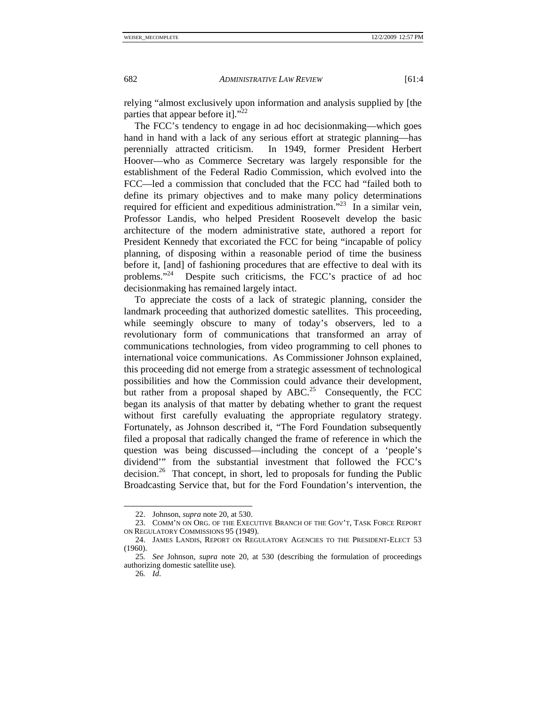relying "almost exclusively upon information and analysis supplied by [the parties that appear before it]."<sup>22</sup>

The FCC's tendency to engage in ad hoc decisionmaking—which goes hand in hand with a lack of any serious effort at strategic planning—has perennially attracted criticism. In 1949, former President Herbert Hoover—who as Commerce Secretary was largely responsible for the establishment of the Federal Radio Commission, which evolved into the FCC—led a commission that concluded that the FCC had "failed both to define its primary objectives and to make many policy determinations required for efficient and expeditious administration.<sup>323</sup> In a similar vein, Professor Landis, who helped President Roosevelt develop the basic architecture of the modern administrative state, authored a report for President Kennedy that excoriated the FCC for being "incapable of policy planning, of disposing within a reasonable period of time the business before it, [and] of fashioning procedures that are effective to deal with its problems."24 Despite such criticisms, the FCC's practice of ad hoc decisionmaking has remained largely intact.

To appreciate the costs of a lack of strategic planning, consider the landmark proceeding that authorized domestic satellites. This proceeding, while seemingly obscure to many of today's observers, led to a revolutionary form of communications that transformed an array of communications technologies, from video programming to cell phones to international voice communications. As Commissioner Johnson explained, this proceeding did not emerge from a strategic assessment of technological possibilities and how the Commission could advance their development, but rather from a proposal shaped by  $ABC<sup>25</sup>$  Consequently, the FCC began its analysis of that matter by debating whether to grant the request without first carefully evaluating the appropriate regulatory strategy. Fortunately, as Johnson described it, "The Ford Foundation subsequently filed a proposal that radically changed the frame of reference in which the question was being discussed—including the concept of a 'people's dividend'" from the substantial investment that followed the FCC's decision.<sup>26</sup> That concept, in short, led to proposals for funding the Public Broadcasting Service that, but for the Ford Foundation's intervention, the

 <sup>22.</sup> Johnson, *supra* note 20, at 530.

 <sup>23.</sup> COMM'N ON ORG. OF THE EXECUTIVE BRANCH OF THE GOV'T, TASK FORCE REPORT ON REGULATORY COMMISSIONS 95 (1949).

 <sup>24.</sup> JAMES LANDIS, REPORT ON REGULATORY AGENCIES TO THE PRESIDENT-ELECT 53  $(1960)$ .

<sup>25</sup>*. See* Johnson, *supra* note 20, at 530 (describing the formulation of proceedings authorizing domestic satellite use).

<sup>26</sup>*. Id*.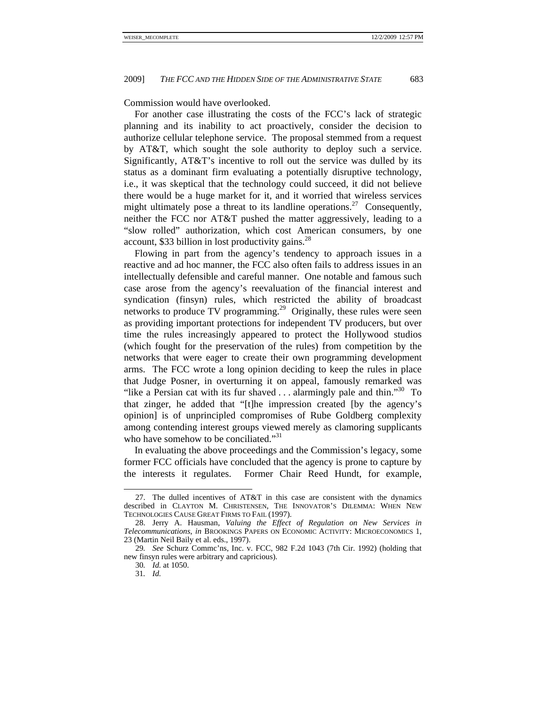Commission would have overlooked.

For another case illustrating the costs of the FCC's lack of strategic planning and its inability to act proactively, consider the decision to authorize cellular telephone service. The proposal stemmed from a request by AT&T, which sought the sole authority to deploy such a service. Significantly, AT&T's incentive to roll out the service was dulled by its status as a dominant firm evaluating a potentially disruptive technology, i.e., it was skeptical that the technology could succeed, it did not believe there would be a huge market for it, and it worried that wireless services might ultimately pose a threat to its landline operations.<sup>27</sup> Consequently, neither the FCC nor AT&T pushed the matter aggressively, leading to a "slow rolled" authorization, which cost American consumers, by one account, \$33 billion in lost productivity gains. $^{28}$ 

Flowing in part from the agency's tendency to approach issues in a reactive and ad hoc manner, the FCC also often fails to address issues in an intellectually defensible and careful manner. One notable and famous such case arose from the agency's reevaluation of the financial interest and syndication (finsyn) rules, which restricted the ability of broadcast networks to produce TV programming.<sup>29</sup> Originally, these rules were seen as providing important protections for independent TV producers, but over time the rules increasingly appeared to protect the Hollywood studios (which fought for the preservation of the rules) from competition by the networks that were eager to create their own programming development arms. The FCC wrote a long opinion deciding to keep the rules in place that Judge Posner, in overturning it on appeal, famously remarked was "like a Persian cat with its fur shaved  $\dots$  alarmingly pale and thin."<sup>30</sup> To that zinger, he added that "[t]he impression created [by the agency's opinion] is of unprincipled compromises of Rube Goldberg complexity among contending interest groups viewed merely as clamoring supplicants who have somehow to be conciliated."<sup>31</sup>

In evaluating the above proceedings and the Commission's legacy, some former FCC officials have concluded that the agency is prone to capture by the interests it regulates. Former Chair Reed Hundt, for example,

 <sup>27.</sup> The dulled incentives of AT&T in this case are consistent with the dynamics described in CLAYTON M. CHRISTENSEN, THE INNOVATOR'S DILEMMA: WHEN NEW TECHNOLOGIES CAUSE GREAT FIRMS TO FAIL (1997).

 <sup>28.</sup> Jerry A. Hausman, *Valuing the Effect of Regulation on New Services in Telecommunications*, *in* BROOKINGS PAPERS ON ECONOMIC ACTIVITY: MICROECONOMICS 1, 23 (Martin Neil Baily et al. eds., 1997).

<sup>29</sup>*. See* Schurz Commc'ns, Inc. v. FCC, 982 F.2d 1043 (7th Cir. 1992) (holding that new finsyn rules were arbitrary and capricious).

<sup>30</sup>*. Id.* at 1050.

<sup>31</sup>*. Id.*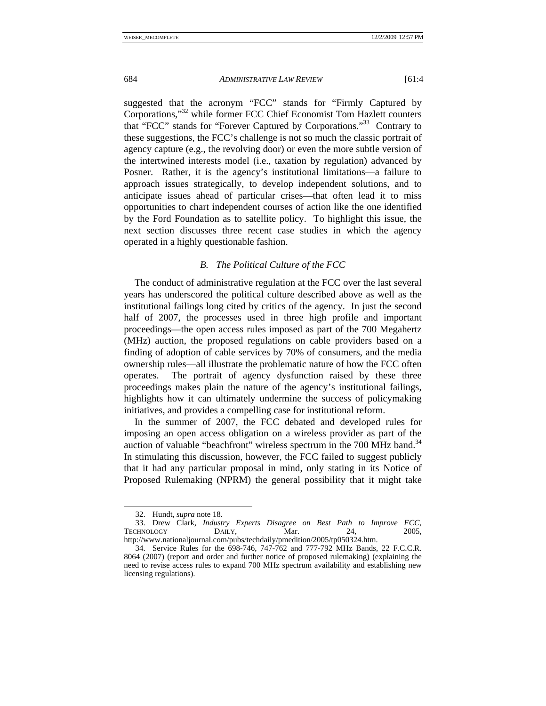suggested that the acronym "FCC" stands for "Firmly Captured by Corporations,"32 while former FCC Chief Economist Tom Hazlett counters that "FCC" stands for "Forever Captured by Corporations."33 Contrary to these suggestions, the FCC's challenge is not so much the classic portrait of agency capture (e.g., the revolving door) or even the more subtle version of the intertwined interests model (i.e., taxation by regulation) advanced by Posner. Rather, it is the agency's institutional limitations—a failure to approach issues strategically, to develop independent solutions, and to anticipate issues ahead of particular crises—that often lead it to miss opportunities to chart independent courses of action like the one identified by the Ford Foundation as to satellite policy. To highlight this issue, the next section discusses three recent case studies in which the agency operated in a highly questionable fashion.

#### *B. The Political Culture of the FCC*

The conduct of administrative regulation at the FCC over the last several years has underscored the political culture described above as well as the institutional failings long cited by critics of the agency. In just the second half of 2007, the processes used in three high profile and important proceedings—the open access rules imposed as part of the 700 Megahertz (MHz) auction, the proposed regulations on cable providers based on a finding of adoption of cable services by 70% of consumers, and the media ownership rules—all illustrate the problematic nature of how the FCC often operates. The portrait of agency dysfunction raised by these three proceedings makes plain the nature of the agency's institutional failings, highlights how it can ultimately undermine the success of policymaking initiatives, and provides a compelling case for institutional reform.

In the summer of 2007, the FCC debated and developed rules for imposing an open access obligation on a wireless provider as part of the auction of valuable "beachfront" wireless spectrum in the  $700$  MHz band. $34$ In stimulating this discussion, however, the FCC failed to suggest publicly that it had any particular proposal in mind, only stating in its Notice of Proposed Rulemaking (NPRM) the general possibility that it might take

 <sup>32.</sup> Hundt, *supra* note 18.

 <sup>33.</sup> Drew Clark, *Industry Experts Disagree on Best Path to Improve FCC*, TECHNOLOGY DAILY, Mar. 24, 2005, http://www.nationaljournal.com/pubs/techdaily/pmedition/2005/tp050324.htm.

 <sup>34.</sup> Service Rules for the 698-746, 747-762 and 777-792 MHz Bands, 22 F.C.C.R. 8064 (2007) (report and order and further notice of proposed rulemaking) (explaining the need to revise access rules to expand 700 MHz spectrum availability and establishing new licensing regulations).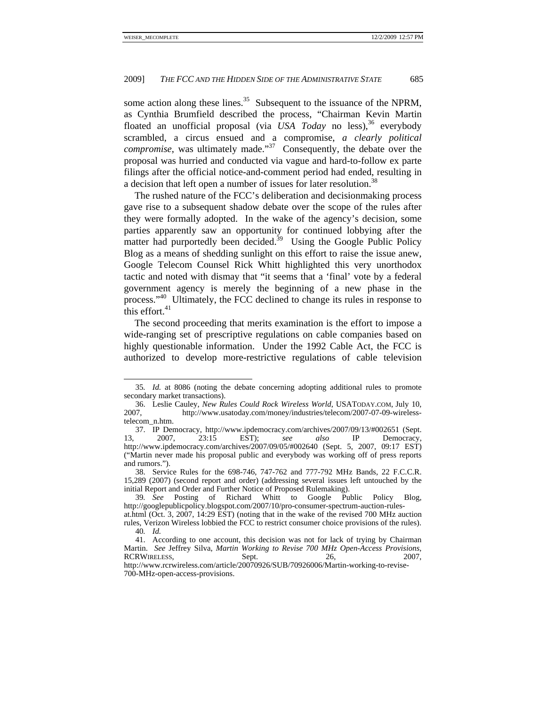some action along these lines.<sup>35</sup> Subsequent to the issuance of the NPRM, as Cynthia Brumfield described the process, "Chairman Kevin Martin floated an unofficial proposal (via *USA Today* no less),<sup>36</sup> everybody scrambled, a circus ensued and a compromise, *a clearly political compromise*, was ultimately made."<sup>37</sup> Consequently, the debate over the proposal was hurried and conducted via vague and hard-to-follow ex parte filings after the official notice-and-comment period had ended, resulting in a decision that left open a number of issues for later resolution.<sup>38</sup>

The rushed nature of the FCC's deliberation and decisionmaking process gave rise to a subsequent shadow debate over the scope of the rules after they were formally adopted. In the wake of the agency's decision, some parties apparently saw an opportunity for continued lobbying after the matter had purportedly been decided.<sup>39</sup> Using the Google Public Policy Blog as a means of shedding sunlight on this effort to raise the issue anew, Google Telecom Counsel Rick Whitt highlighted this very unorthodox tactic and noted with dismay that "it seems that a 'final' vote by a federal government agency is merely the beginning of a new phase in the process."<sup>40</sup> Ultimately, the FCC declined to change its rules in response to this effort. $41$ 

The second proceeding that merits examination is the effort to impose a wide-ranging set of prescriptive regulations on cable companies based on highly questionable information. Under the 1992 Cable Act, the FCC is authorized to develop more-restrictive regulations of cable television

 <sup>35</sup>*. Id.* at 8086 (noting the debate concerning adopting additional rules to promote secondary market transactions).

 <sup>36.</sup> Leslie Cauley, *New Rules Could Rock Wireless World*, USATODAY.COM, July 10, 2007, http://www.usatoday.com/money/industries/telecom/2007-07-09-wirelesstelecom\_n.htm.

 <sup>37.</sup> IP Democracy, http://www.ipdemocracy.com/archives/2007/09/13/#002651 (Sept. 13, 2007, 23:15 EST); *see also* IP Democracy, http://www.ipdemocracy.com/archives/2007/09/05/#002640 (Sept. 5, 2007, 09:17 EST) ("Martin never made his proposal public and everybody was working off of press reports and rumors.").

 <sup>38.</sup> Service Rules for the 698-746, 747-762 and 777-792 MHz Bands, 22 F.C.C.R. 15,289 (2007) (second report and order) (addressing several issues left untouched by the initial Report and Order and Further Notice of Proposed Rulemaking).

<sup>39</sup>*. See* Posting of Richard Whitt to Google Public Policy Blog, http://googlepublicpolicy.blogspot.com/2007/10/pro-consumer-spectrum-auction-rules-

at.html (Oct. 3, 2007, 14:29 EST) (noting that in the wake of the revised 700 MHz auction rules, Verizon Wireless lobbied the FCC to restrict consumer choice provisions of the rules). 40*. Id.*

 <sup>41.</sup> According to one account, this decision was not for lack of trying by Chairman Martin. *See* Jeffrey Silva, *Martin Working to Revise 700 MHz Open-Access Provisions*, RCRWIRELESS, Sept. 26, 2007,

http://www.rcrwireless.com/article/20070926/SUB/70926006/Martin-working-to-revise-700-MHz-open-access-provisions.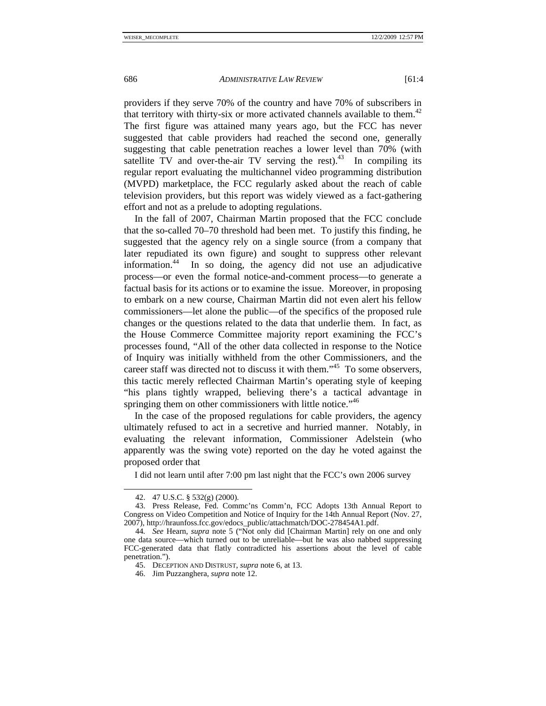providers if they serve 70% of the country and have 70% of subscribers in that territory with thirty-six or more activated channels available to them.<sup>42</sup> The first figure was attained many years ago, but the FCC has never suggested that cable providers had reached the second one, generally suggesting that cable penetration reaches a lower level than 70% (with satellite TV and over-the-air TV serving the rest).<sup>43</sup> In compiling its regular report evaluating the multichannel video programming distribution (MVPD) marketplace, the FCC regularly asked about the reach of cable television providers, but this report was widely viewed as a fact-gathering effort and not as a prelude to adopting regulations.

In the fall of 2007, Chairman Martin proposed that the FCC conclude that the so-called 70–70 threshold had been met. To justify this finding, he suggested that the agency rely on a single source (from a company that later repudiated its own figure) and sought to suppress other relevant information.44 In so doing, the agency did not use an adjudicative process—or even the formal notice-and-comment process—to generate a factual basis for its actions or to examine the issue. Moreover, in proposing to embark on a new course, Chairman Martin did not even alert his fellow commissioners—let alone the public—of the specifics of the proposed rule changes or the questions related to the data that underlie them. In fact, as the House Commerce Committee majority report examining the FCC's processes found, "All of the other data collected in response to the Notice of Inquiry was initially withheld from the other Commissioners, and the career staff was directed not to discuss it with them."45 To some observers, this tactic merely reflected Chairman Martin's operating style of keeping "his plans tightly wrapped, believing there's a tactical advantage in springing them on other commissioners with little notice."<sup>46</sup>

In the case of the proposed regulations for cable providers, the agency ultimately refused to act in a secretive and hurried manner. Notably, in evaluating the relevant information, Commissioner Adelstein (who apparently was the swing vote) reported on the day he voted against the proposed order that

I did not learn until after 7:00 pm last night that the FCC's own 2006 survey

 <sup>42. 47</sup> U.S.C. § 532(g) (2000).

 <sup>43.</sup> Press Release, Fed. Commc'ns Comm'n, FCC Adopts 13th Annual Report to Congress on Video Competition and Notice of Inquiry for the 14th Annual Report (Nov. 27, 2007), http://hraunfoss.fcc.gov/edocs\_public/attachmatch/DOC-278454A1.pdf.

<sup>44</sup>*. See* Hearn, *supra* note 5 ("Not only did [Chairman Martin] rely on one and only one data source—which turned out to be unreliable—but he was also nabbed suppressing FCC-generated data that flatly contradicted his assertions about the level of cable penetration.").

 <sup>45.</sup> DECEPTION AND DISTRUST, *supra* note 6, at 13.

 <sup>46.</sup> Jim Puzzanghera, *supra* note 12.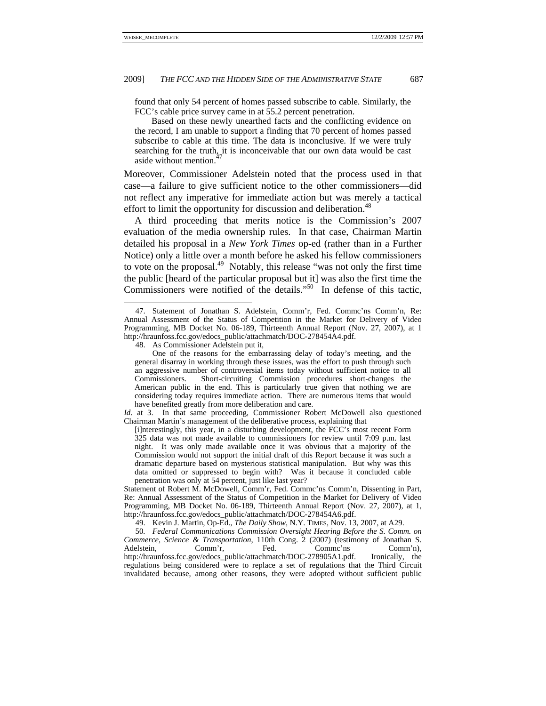found that only 54 percent of homes passed subscribe to cable. Similarly, the FCC's cable price survey came in at 55.2 percent penetration.

 Based on these newly unearthed facts and the conflicting evidence on the record, I am unable to support a finding that 70 percent of homes passed subscribe to cable at this time. The data is inconclusive. If we were truly searching for the truth, it is inconceivable that our own data would be cast aside without mention.

Moreover, Commissioner Adelstein noted that the process used in that case—a failure to give sufficient notice to the other commissioners—did not reflect any imperative for immediate action but was merely a tactical effort to limit the opportunity for discussion and deliberation.<sup>48</sup>

A third proceeding that merits notice is the Commission's 2007 evaluation of the media ownership rules. In that case, Chairman Martin detailed his proposal in a *New York Times* op-ed (rather than in a Further Notice) only a little over a month before he asked his fellow commissioners to vote on the proposal.49 Notably, this release "was not only the first time the public [heard of the particular proposal but it] was also the first time the Commissioners were notified of the details." $50$  In defense of this tactic,

48. As Commissioner Adelstein put it,

 $\overline{a}$ 

 One of the reasons for the embarrassing delay of today's meeting, and the general disarray in working through these issues, was the effort to push through such an aggressive number of controversial items today without sufficient notice to all Commissioners. Short-circuiting Commission procedures short-changes the American public in the end. This is particularly true given that nothing we are considering today requires immediate action. There are numerous items that would have benefited greatly from more deliberation and care.

*Id.* at 3. In that same proceeding, Commissioner Robert McDowell also questioned Chairman Martin's management of the deliberative process, explaining that

[i]nterestingly, this year, in a disturbing development, the FCC's most recent Form 325 data was not made available to commissioners for review until 7:09 p.m. last night. It was only made available once it was obvious that a majority of the Commission would not support the initial draft of this Report because it was such a dramatic departure based on mysterious statistical manipulation. But why was this data omitted or suppressed to begin with? Was it because it concluded cable penetration was only at 54 percent, just like last year?

Statement of Robert M. McDowell, Comm'r, Fed. Commc'ns Comm'n, Dissenting in Part, Re: Annual Assessment of the Status of Competition in the Market for Delivery of Video Programming, MB Docket No. 06-189, Thirteenth Annual Report (Nov. 27, 2007), at 1, http://hraunfoss.fcc.gov/edocs\_public/attachmatch/DOC-278454A6.pdf.

49. Kevin J. Martin, Op-Ed., *The Daily Show*, N.Y. TIMES, Nov. 13, 2007, at A29.

50*. Federal Communications Commission Oversight Hearing Before the S. Comm. on Commerce, Science & Transportation*, 110th Cong. 2 (2007) (testimony of Jonathan S. Adelstein, Comm'r, Fed. Commc'ns Comm'n). Comm'r, Fed. Commc'ns Comm'n), http://hraunfoss.fcc.gov/edocs\_public/attachmatch/DOC-278905A1.pdf. Ironically, the regulations being considered were to replace a set of regulations that the Third Circuit invalidated because, among other reasons, they were adopted without sufficient public

 <sup>47.</sup> Statement of Jonathan S. Adelstein, Comm'r, Fed. Commc'ns Comm'n, Re: Annual Assessment of the Status of Competition in the Market for Delivery of Video Programming, MB Docket No. 06-189, Thirteenth Annual Report (Nov. 27, 2007), at 1 http://hraunfoss.fcc.gov/edocs\_public/attachmatch/DOC-278454A4.pdf.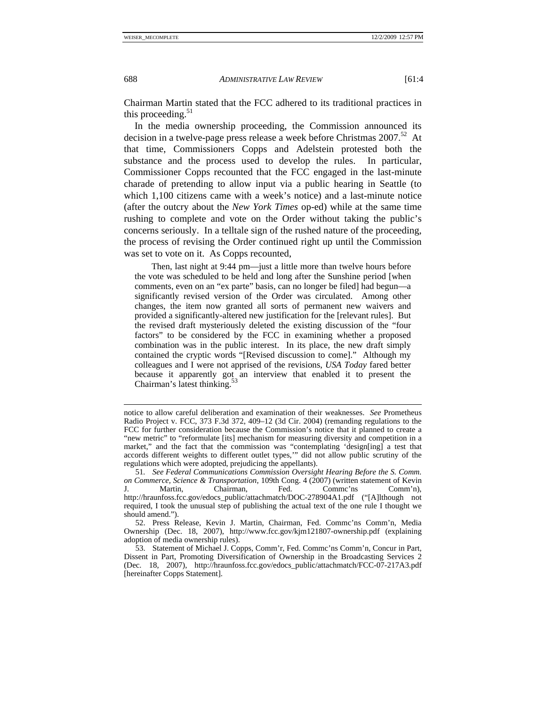Chairman Martin stated that the FCC adhered to its traditional practices in this proceeding. $51$ 

In the media ownership proceeding, the Commission announced its decision in a twelve-page press release a week before Christmas 2007.<sup>52</sup> At that time, Commissioners Copps and Adelstein protested both the substance and the process used to develop the rules. In particular, Commissioner Copps recounted that the FCC engaged in the last-minute charade of pretending to allow input via a public hearing in Seattle (to which 1,100 citizens came with a week's notice) and a last-minute notice (after the outcry about the *New York Times* op-ed) while at the same time rushing to complete and vote on the Order without taking the public's concerns seriously. In a telltale sign of the rushed nature of the proceeding, the process of revising the Order continued right up until the Commission was set to vote on it. As Copps recounted,

 Then, last night at 9:44 pm—just a little more than twelve hours before the vote was scheduled to be held and long after the Sunshine period [when comments, even on an "ex parte" basis, can no longer be filed] had begun—a significantly revised version of the Order was circulated. Among other changes, the item now granted all sorts of permanent new waivers and provided a significantly-altered new justification for the [relevant rules]. But the revised draft mysteriously deleted the existing discussion of the "four factors" to be considered by the FCC in examining whether a proposed combination was in the public interest. In its place, the new draft simply contained the cryptic words "[Revised discussion to come]." Although my colleagues and I were not apprised of the revisions, *USA Today* fared better because it apparently got an interview that enabled it to present the Chairman's latest thinking.<sup>5</sup>

notice to allow careful deliberation and examination of their weaknesses. *See* Prometheus Radio Project v. FCC, 373 F.3d 372, 409–12 (3d Cir. 2004) (remanding regulations to the FCC for further consideration because the Commission's notice that it planned to create a "new metric" to "reformulate [its] mechanism for measuring diversity and competition in a market," and the fact that the commission was "contemplating 'design[ing] a test that accords different weights to different outlet types,'" did not allow public scrutiny of the regulations which were adopted, prejudicing the appellants).

<sup>51</sup>*. See Federal Communications Commission Oversight Hearing Before the S. Comm. on Commerce, Science & Transportation*, 109th Cong. 4 (2007) (written statement of Kevin<br>
J. Martin, Chairman, Fed. Commc'ns Comm'n), J. Martin, Chairman, Fed. Commc'ns Comm'n), http://hraunfoss.fcc.gov/edocs\_public/attachmatch/DOC-278904A1.pdf ("[A]lthough not required, I took the unusual step of publishing the actual text of the one rule I thought we should amend.").

 <sup>52.</sup> Press Release, Kevin J. Martin, Chairman, Fed. Commc'ns Comm'n, Media Ownership (Dec. 18, 2007), http://www.fcc.gov/kjm121807-ownership.pdf (explaining adoption of media ownership rules).

 <sup>53.</sup> Statement of Michael J. Copps, Comm'r, Fed. Commc'ns Comm'n, Concur in Part, Dissent in Part, Promoting Diversification of Ownership in the Broadcasting Services 2 (Dec. 18, 2007), http://hraunfoss.fcc.gov/edocs\_public/attachmatch/FCC-07-217A3.pdf [hereinafter Copps Statement].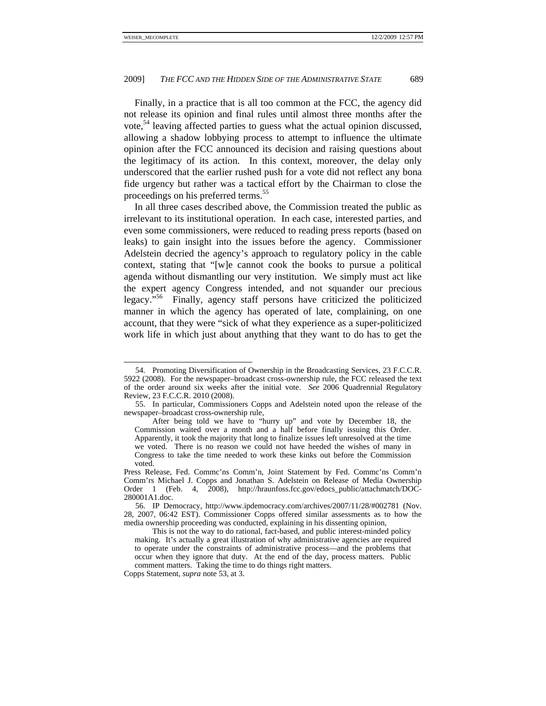Finally, in a practice that is all too common at the FCC, the agency did not release its opinion and final rules until almost three months after the vote,<sup>54</sup> leaving affected parties to guess what the actual opinion discussed, allowing a shadow lobbying process to attempt to influence the ultimate opinion after the FCC announced its decision and raising questions about the legitimacy of its action. In this context, moreover, the delay only underscored that the earlier rushed push for a vote did not reflect any bona fide urgency but rather was a tactical effort by the Chairman to close the proceedings on his preferred terms.<sup>55</sup>

In all three cases described above, the Commission treated the public as irrelevant to its institutional operation. In each case, interested parties, and even some commissioners, were reduced to reading press reports (based on leaks) to gain insight into the issues before the agency. Commissioner Adelstein decried the agency's approach to regulatory policy in the cable context, stating that "[w]e cannot cook the books to pursue a political agenda without dismantling our very institution. We simply must act like the expert agency Congress intended, and not squander our precious legacy."56 Finally, agency staff persons have criticized the politicized manner in which the agency has operated of late, complaining, on one account, that they were "sick of what they experience as a super-politicized work life in which just about anything that they want to do has to get the

 <sup>54.</sup> Promoting Diversification of Ownership in the Broadcasting Services, 23 F.C.C.R. 5922 (2008). For the newspaper–broadcast cross-ownership rule, the FCC released the text of the order around six weeks after the initial vote. *See* 2006 Quadrennial Regulatory Review, 23 F.C.C.R. 2010 (2008).

 <sup>55.</sup> In particular, Commissioners Copps and Adelstein noted upon the release of the newspaper–broadcast cross-ownership rule,

After being told we have to "hurry up" and vote by December 18, the Commission waited over a month and a half before finally issuing this Order. Apparently, it took the majority that long to finalize issues left unresolved at the time we voted. There is no reason we could not have heeded the wishes of many in Congress to take the time needed to work these kinks out before the Commission voted.

Press Release, Fed. Commc'ns Comm'n, Joint Statement by Fed. Commc'ns Comm'n Comm'rs Michael J. Copps and Jonathan S. Adelstein on Release of Media Ownership Order 1 (Feb. 4, 2008), http://hraunfoss.fcc.gov/edocs\_public/attachmatch/DOC-280001A1.doc.

 <sup>56.</sup> IP Democracy, http://www.ipdemocracy.com/archives/2007/11/28/#002781 (Nov. 28, 2007, 06:42 EST). Commissioner Copps offered similar assessments as to how the media ownership proceeding was conducted, explaining in his dissenting opinion,

This is not the way to do rational, fact-based, and public interest-minded policy making. It's actually a great illustration of why administrative agencies are required to operate under the constraints of administrative process—and the problems that occur when they ignore that duty. At the end of the day, process matters. Public comment matters. Taking the time to do things right matters.

Copps Statement, *supra* note 53, at 3.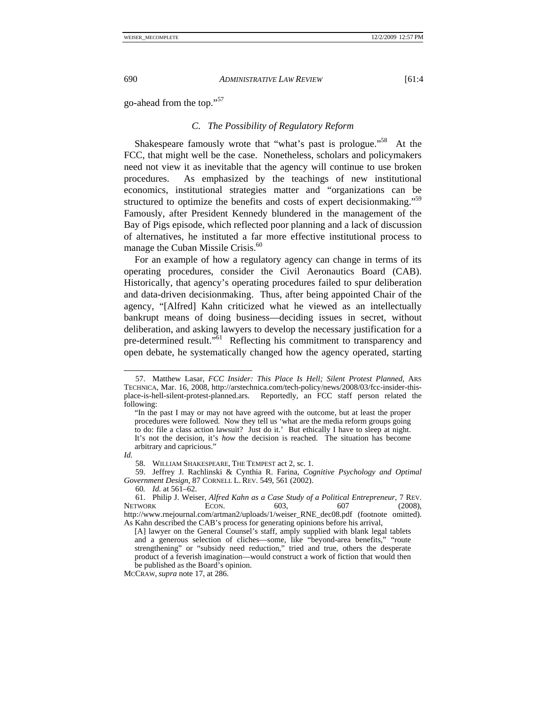go-ahead from the top."<sup>57</sup>

# *C. The Possibility of Regulatory Reform*

Shakespeare famously wrote that "what's past is prologue."<sup>58</sup> At the FCC, that might well be the case. Nonetheless, scholars and policymakers need not view it as inevitable that the agency will continue to use broken procedures. As emphasized by the teachings of new institutional economics, institutional strategies matter and "organizations can be structured to optimize the benefits and costs of expert decisionmaking."<sup>59</sup> Famously, after President Kennedy blundered in the management of the Bay of Pigs episode, which reflected poor planning and a lack of discussion of alternatives, he instituted a far more effective institutional process to manage the Cuban Missile Crisis.<sup>60</sup>

For an example of how a regulatory agency can change in terms of its operating procedures, consider the Civil Aeronautics Board (CAB). Historically, that agency's operating procedures failed to spur deliberation and data-driven decisionmaking. Thus, after being appointed Chair of the agency, "[Alfred] Kahn criticized what he viewed as an intellectually bankrupt means of doing business—deciding issues in secret, without deliberation, and asking lawyers to develop the necessary justification for a pre-determined result."61 Reflecting his commitment to transparency and open debate, he systematically changed how the agency operated, starting

 $\overline{a}$ 

58. WILLIAM SHAKESPEARE, THE TEMPEST act 2, sc. 1.

 <sup>57.</sup> Matthew Lasar, *FCC Insider: This Place Is Hell; Silent Protest Planned*, ARS TECHNICA, Mar. 16, 2008, http://arstechnica.com/tech-policy/news/2008/03/fcc-insider-thisplace-is-hell-silent-protest-planned.ars. Reportedly, an FCC staff person related the following:

<sup>&</sup>quot;In the past I may or may not have agreed with the outcome, but at least the proper procedures were followed. Now they tell us 'what are the media reform groups going to do: file a class action lawsuit? Just do it.' But ethically I have to sleep at night. It's not the decision, it's *how* the decision is reached. The situation has become arbitrary and capricious."

*Id.* 

 <sup>59.</sup> Jeffrey J. Rachlinski & Cynthia R. Farina, *Cognitive Psychology and Optimal Government Design*, 87 CORNELL L. REV. 549, 561 (2002).

<sup>60</sup>*. Id.* at 561–62.

 <sup>61.</sup> Philip J. Weiser, *Alfred Kahn as a Case Study of a Political Entrepreneur*, 7 REV. NETWORK **ECON.** 603, 607 (2008), http://www.rnejournal.com/artman2/uploads/1/weiser\_RNE\_dec08.pdf (footnote omitted). As Kahn described the CAB's process for generating opinions before his arrival,

<sup>[</sup>A] lawyer on the General Counsel's staff, amply supplied with blank legal tablets and a generous selection of cliches—some, like "beyond-area benefits," "route strengthening" or "subsidy need reduction," tried and true, others the desperate product of a feverish imagination—would construct a work of fiction that would then be published as the Board's opinion.

MCCRAW, *supra* note 17, at 286.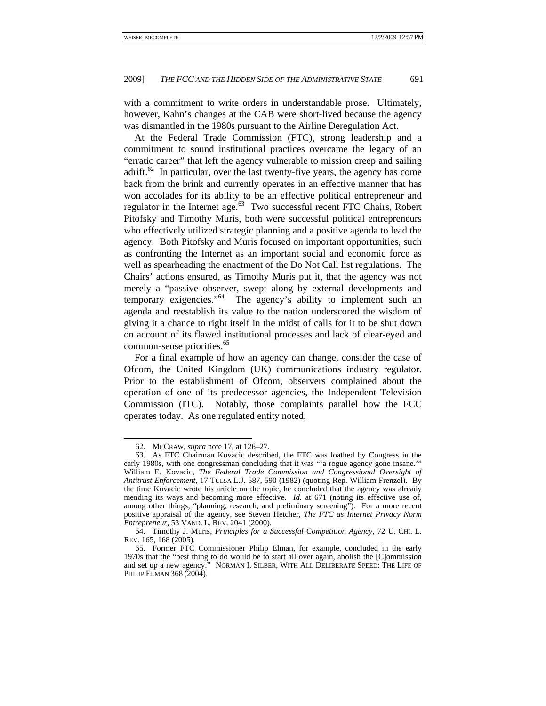with a commitment to write orders in understandable prose. Ultimately, however, Kahn's changes at the CAB were short-lived because the agency was dismantled in the 1980s pursuant to the Airline Deregulation Act.

At the Federal Trade Commission (FTC), strong leadership and a commitment to sound institutional practices overcame the legacy of an "erratic career" that left the agency vulnerable to mission creep and sailing adrift.<sup>62</sup> In particular, over the last twenty-five years, the agency has come back from the brink and currently operates in an effective manner that has won accolades for its ability to be an effective political entrepreneur and regulator in the Internet age.<sup>63</sup> Two successful recent FTC Chairs, Robert Pitofsky and Timothy Muris, both were successful political entrepreneurs who effectively utilized strategic planning and a positive agenda to lead the agency. Both Pitofsky and Muris focused on important opportunities, such as confronting the Internet as an important social and economic force as well as spearheading the enactment of the Do Not Call list regulations. The Chairs' actions ensured, as Timothy Muris put it, that the agency was not merely a "passive observer, swept along by external developments and temporary exigencies."64 The agency's ability to implement such an agenda and reestablish its value to the nation underscored the wisdom of giving it a chance to right itself in the midst of calls for it to be shut down on account of its flawed institutional processes and lack of clear-eyed and common-sense priorities.<sup>65</sup>

For a final example of how an agency can change, consider the case of Ofcom, the United Kingdom (UK) communications industry regulator. Prior to the establishment of Ofcom, observers complained about the operation of one of its predecessor agencies, the Independent Television Commission (ITC). Notably, those complaints parallel how the FCC operates today. As one regulated entity noted,

 <sup>62.</sup> MCCRAW, *supra* note 17, at 126–27.

 <sup>63.</sup> As FTC Chairman Kovacic described, the FTC was loathed by Congress in the early 1980s, with one congressman concluding that it was "'a rogue agency gone insane.'" William E. Kovacic, *The Federal Trade Commission and Congressional Oversight of Antitrust Enforcement*, 17 TULSA L.J. 587, 590 (1982) (quoting Rep. William Frenzel). By the time Kovacic wrote his article on the topic, he concluded that the agency was already mending its ways and becoming more effective. *Id.* at 671 (noting its effective use of, among other things, "planning, research, and preliminary screening"). For a more recent positive appraisal of the agency, see Steven Hetcher, *The FTC as Internet Privacy Norm Entrepreneur*, 53 VAND. L. REV. 2041 (2000).

 <sup>64.</sup> Timothy J. Muris, *Principles for a Successful Competition Agency*, 72 U. CHI. L. REV. 165, 168 (2005).

 <sup>65.</sup> Former FTC Commissioner Philip Elman, for example, concluded in the early 1970s that the "best thing to do would be to start all over again, abolish the [C]ommission and set up a new agency." NORMAN I. SILBER, WITH ALL DELIBERATE SPEED: THE LIFE OF PHILIP ELMAN 368 (2004).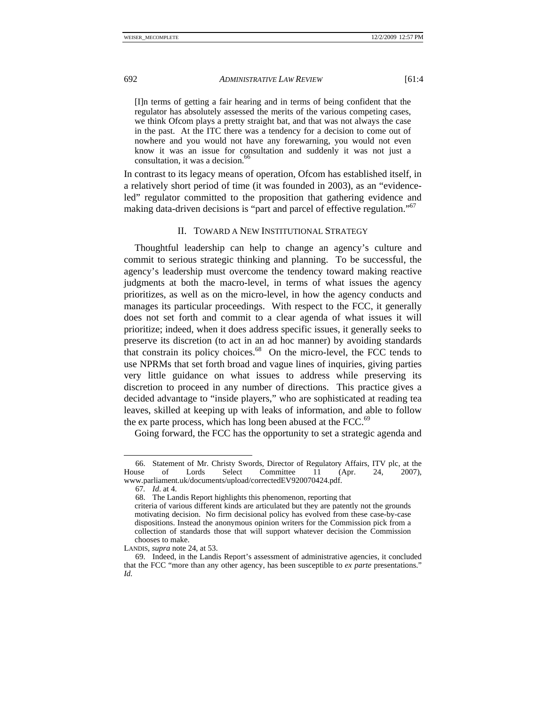[I]n terms of getting a fair hearing and in terms of being confident that the regulator has absolutely assessed the merits of the various competing cases, we think Ofcom plays a pretty straight bat, and that was not always the case in the past. At the ITC there was a tendency for a decision to come out of nowhere and you would not have any forewarning, you would not even know it was an issue for consultation and suddenly it was not just a consultation, it was a decision.<sup>66</sup>

In contrast to its legacy means of operation, Ofcom has established itself, in a relatively short period of time (it was founded in 2003), as an "evidenceled" regulator committed to the proposition that gathering evidence and making data-driven decisions is "part and parcel of effective regulation."<sup>67</sup>

# II. TOWARD A NEW INSTITUTIONAL STRATEGY

Thoughtful leadership can help to change an agency's culture and commit to serious strategic thinking and planning. To be successful, the agency's leadership must overcome the tendency toward making reactive judgments at both the macro-level, in terms of what issues the agency prioritizes, as well as on the micro-level, in how the agency conducts and manages its particular proceedings. With respect to the FCC, it generally does not set forth and commit to a clear agenda of what issues it will prioritize; indeed, when it does address specific issues, it generally seeks to preserve its discretion (to act in an ad hoc manner) by avoiding standards that constrain its policy choices.68 On the micro-level, the FCC tends to use NPRMs that set forth broad and vague lines of inquiries, giving parties very little guidance on what issues to address while preserving its discretion to proceed in any number of directions. This practice gives a decided advantage to "inside players," who are sophisticated at reading tea leaves, skilled at keeping up with leaks of information, and able to follow the ex parte process, which has long been abused at the FCC. $^{69}$ 

Going forward, the FCC has the opportunity to set a strategic agenda and

<sup>66.</sup> Statement of Mr. Christy Swords, Director of Regulatory Affairs, ITV plc, at the use of Lords Select Committee 11 (Apr. 24, 2007). House of Lords Select Committee 11 (Apr. 24, 2007), www.parliament.uk/documents/upload/correctedEV920070424.pdf.

<sup>67</sup>*. Id*. at 4.

 <sup>68.</sup> The Landis Report highlights this phenomenon, reporting that

criteria of various different kinds are articulated but they are patently not the grounds motivating decision. No firm decisional policy has evolved from these case-by-case dispositions. Instead the anonymous opinion writers for the Commission pick from a collection of standards those that will support whatever decision the Commission chooses to make.

LANDIS, *supra* note 24, at 53.

 <sup>69.</sup> Indeed, in the Landis Report's assessment of administrative agencies, it concluded that the FCC "more than any other agency, has been susceptible to *ex parte* presentations." *Id.*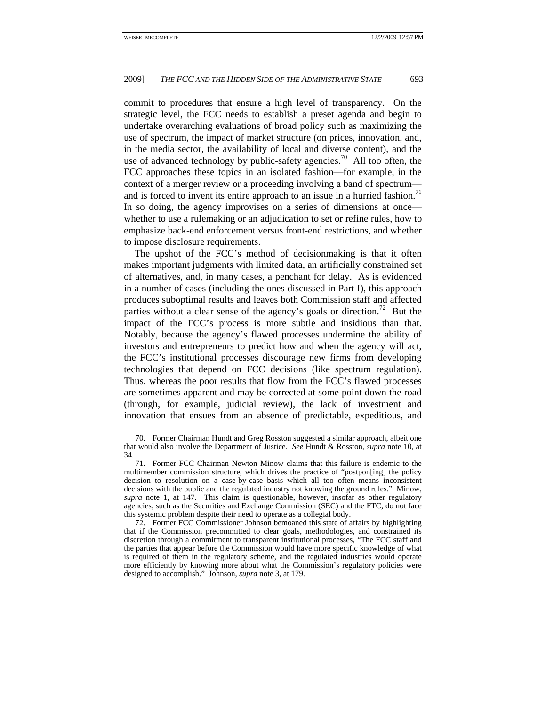commit to procedures that ensure a high level of transparency. On the strategic level, the FCC needs to establish a preset agenda and begin to undertake overarching evaluations of broad policy such as maximizing the use of spectrum, the impact of market structure (on prices, innovation, and, in the media sector, the availability of local and diverse content), and the use of advanced technology by public-safety agencies.<sup>70</sup> All too often, the FCC approaches these topics in an isolated fashion—for example, in the context of a merger review or a proceeding involving a band of spectrum and is forced to invent its entire approach to an issue in a hurried fashion.<sup>71</sup> In so doing, the agency improvises on a series of dimensions at once whether to use a rulemaking or an adjudication to set or refine rules, how to emphasize back-end enforcement versus front-end restrictions, and whether to impose disclosure requirements.

The upshot of the FCC's method of decisionmaking is that it often makes important judgments with limited data, an artificially constrained set of alternatives, and, in many cases, a penchant for delay. As is evidenced in a number of cases (including the ones discussed in Part I), this approach produces suboptimal results and leaves both Commission staff and affected parties without a clear sense of the agency's goals or direction.<sup>72</sup> But the impact of the FCC's process is more subtle and insidious than that. Notably, because the agency's flawed processes undermine the ability of investors and entrepreneurs to predict how and when the agency will act, the FCC's institutional processes discourage new firms from developing technologies that depend on FCC decisions (like spectrum regulation). Thus, whereas the poor results that flow from the FCC's flawed processes are sometimes apparent and may be corrected at some point down the road (through, for example, judicial review), the lack of investment and innovation that ensues from an absence of predictable, expeditious, and

 <sup>70.</sup> Former Chairman Hundt and Greg Rosston suggested a similar approach, albeit one that would also involve the Department of Justice. *See* Hundt & Rosston, *supra* note 10, at 34.

 <sup>71.</sup> Former FCC Chairman Newton Minow claims that this failure is endemic to the multimember commission structure, which drives the practice of "postpon[ing] the policy decision to resolution on a case-by-case basis which all too often means inconsistent decisions with the public and the regulated industry not knowing the ground rules." Minow, *supra* note 1, at 147. This claim is questionable, however, insofar as other regulatory agencies, such as the Securities and Exchange Commission (SEC) and the FTC, do not face this systemic problem despite their need to operate as a collegial body.

 <sup>72.</sup> Former FCC Commissioner Johnson bemoaned this state of affairs by highlighting that if the Commission precommitted to clear goals, methodologies, and constrained its discretion through a commitment to transparent institutional processes, "The FCC staff and the parties that appear before the Commission would have more specific knowledge of what is required of them in the regulatory scheme, and the regulated industries would operate more efficiently by knowing more about what the Commission's regulatory policies were designed to accomplish." Johnson, *supra* note 3, at 179.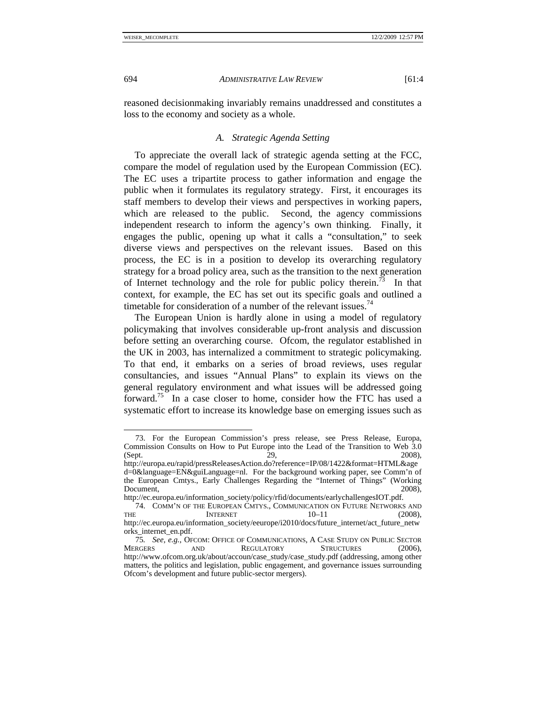reasoned decisionmaking invariably remains unaddressed and constitutes a loss to the economy and society as a whole.

# *A. Strategic Agenda Setting*

To appreciate the overall lack of strategic agenda setting at the FCC, compare the model of regulation used by the European Commission (EC). The EC uses a tripartite process to gather information and engage the public when it formulates its regulatory strategy. First, it encourages its staff members to develop their views and perspectives in working papers, which are released to the public. Second, the agency commissions independent research to inform the agency's own thinking. Finally, it engages the public, opening up what it calls a "consultation," to seek diverse views and perspectives on the relevant issues. Based on this process, the EC is in a position to develop its overarching regulatory strategy for a broad policy area, such as the transition to the next generation of Internet technology and the role for public policy therein.<sup>73</sup> In that context, for example, the EC has set out its specific goals and outlined a timetable for consideration of a number of the relevant issues.<sup>74</sup>

The European Union is hardly alone in using a model of regulatory policymaking that involves considerable up-front analysis and discussion before setting an overarching course. Ofcom, the regulator established in the UK in 2003, has internalized a commitment to strategic policymaking. To that end, it embarks on a series of broad reviews, uses regular consultancies, and issues "Annual Plans" to explain its views on the general regulatory environment and what issues will be addressed going forward.75 In a case closer to home, consider how the FTC has used a systematic effort to increase its knowledge base on emerging issues such as

 <sup>73.</sup> For the European Commission's press release, see Press Release, Europa, Commission Consults on How to Put Europe into the Lead of the Transition to Web 3.0 (Sept. 29, 2008),

http://europa.eu/rapid/pressReleasesAction.do?reference=IP/08/1422&format=HTML&age d=0&language=EN&guiLanguage=nl. For the background working paper, see Comm'n of the European Cmtys., Early Challenges Regarding the "Internet of Things" (Working Document, 2008),

http://ec.europa.eu/information\_society/policy/rfid/documents/earlychallengesIOT.pdf.

 <sup>74.</sup> COMM'N OF THE EUROPEAN CMTYS., COMMUNICATION ON FUTURE NETWORKS AND THE INTERNET 10–11 (2008), http://ec.europa.eu/information\_society/eeurope/i2010/docs/future\_internet/act\_future\_netw orks\_internet\_en.pdf.

<sup>75</sup>*. See, e.g.*, OFCOM: OFFICE OF COMMUNICATIONS, A CASE STUDY ON PUBLIC SECTOR MERGERS AND REGULATORY STRUCTURES (2006), http://www.ofcom.org.uk/about/accoun/case\_study/case\_study.pdf (addressing, among other matters, the politics and legislation, public engagement, and governance issues surrounding Ofcom's development and future public-sector mergers).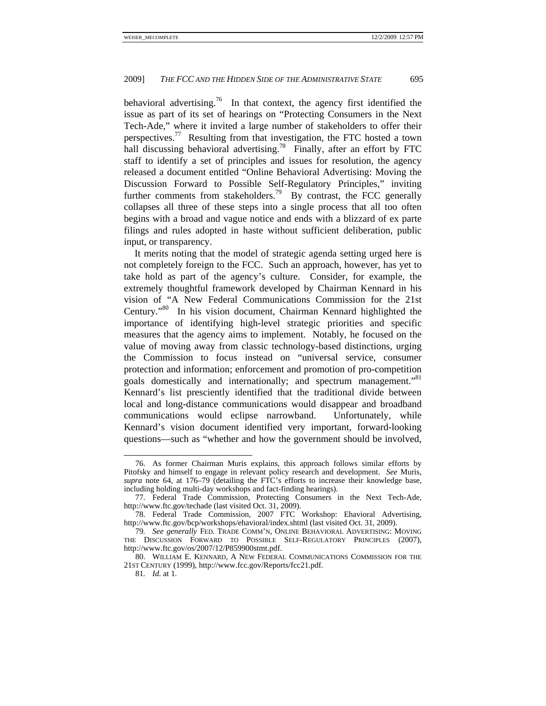behavioral advertising.<sup>76</sup> In that context, the agency first identified the issue as part of its set of hearings on "Protecting Consumers in the Next Tech-Ade," where it invited a large number of stakeholders to offer their perspectives.<sup>77</sup> Resulting from that investigation, the FTC hosted a town hall discussing behavioral advertising.<sup>78</sup> Finally, after an effort by FTC staff to identify a set of principles and issues for resolution, the agency released a document entitled "Online Behavioral Advertising: Moving the Discussion Forward to Possible Self-Regulatory Principles," inviting further comments from stakeholders.<sup>79</sup> By contrast, the FCC generally collapses all three of these steps into a single process that all too often begins with a broad and vague notice and ends with a blizzard of ex parte filings and rules adopted in haste without sufficient deliberation, public input, or transparency.

It merits noting that the model of strategic agenda setting urged here is not completely foreign to the FCC. Such an approach, however, has yet to take hold as part of the agency's culture. Consider, for example, the extremely thoughtful framework developed by Chairman Kennard in his vision of "A New Federal Communications Commission for the 21st Century."80 In his vision document, Chairman Kennard highlighted the importance of identifying high-level strategic priorities and specific measures that the agency aims to implement. Notably, he focused on the value of moving away from classic technology-based distinctions, urging the Commission to focus instead on "universal service, consumer protection and information; enforcement and promotion of pro-competition goals domestically and internationally; and spectrum management."<sup>81</sup> Kennard's list presciently identified that the traditional divide between local and long-distance communications would disappear and broadband communications would eclipse narrowband. Unfortunately, while Kennard's vision document identified very important, forward-looking questions—such as "whether and how the government should be involved,

 <sup>76.</sup> As former Chairman Muris explains, this approach follows similar efforts by Pitofsky and himself to engage in relevant policy research and development. *See* Muris, *supra* note 64, at 176–79 (detailing the FTC's efforts to increase their knowledge base, including holding multi-day workshops and fact-finding hearings).

 <sup>77.</sup> Federal Trade Commission, Protecting Consumers in the Next Tech-Ade, http://www.ftc.gov/techade (last visited Oct. 31, 2009).

 <sup>78.</sup> Federal Trade Commission, 2007 FTC Workshop: Ehavioral Advertising, http://www.ftc.gov/bcp/workshops/ehavioral/index.shtml (last visited Oct. 31, 2009).

<sup>79</sup>*. See generally* FED. TRADE COMM'N, ONLINE BEHAVIORAL ADVERTISING: MOVING THE DISCUSSION FORWARD TO POSSIBLE SELF-REGULATORY PRINCIPLES (2007), http://www.ftc.gov/os/2007/12/P859900stmt.pdf.

 <sup>80.</sup> WILLIAM E. KENNARD, A NEW FEDERAL COMMUNICATIONS COMMISSION FOR THE 21ST CENTURY (1999), http://www.fcc.gov/Reports/fcc21.pdf.

<sup>81</sup>*. Id.* at 1.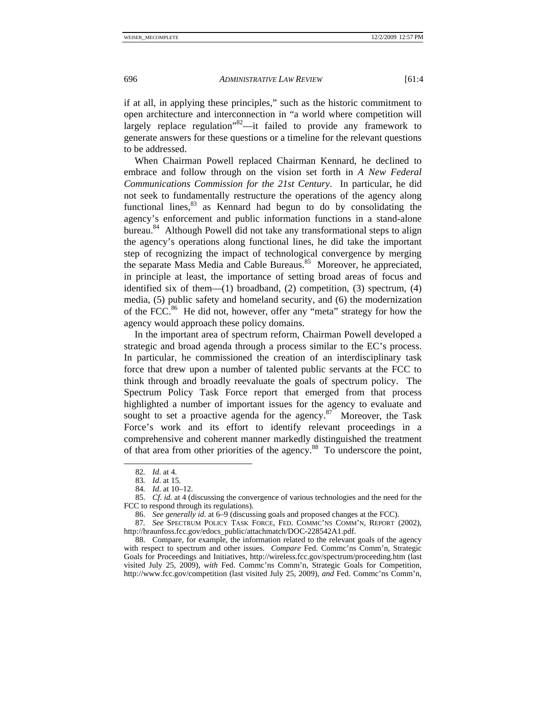if at all, in applying these principles," such as the historic commitment to open architecture and interconnection in "a world where competition will largely replace regulation"82—it failed to provide any framework to generate answers for these questions or a timeline for the relevant questions to be addressed.

When Chairman Powell replaced Chairman Kennard, he declined to embrace and follow through on the vision set forth in *A New Federal Communications Commission for the 21st Century*. In particular, he did not seek to fundamentally restructure the operations of the agency along functional lines, $83$  as Kennard had begun to do by consolidating the agency's enforcement and public information functions in a stand-alone bureau.<sup>84</sup> Although Powell did not take any transformational steps to align the agency's operations along functional lines, he did take the important step of recognizing the impact of technological convergence by merging the separate Mass Media and Cable Bureaus.<sup>85</sup> Moreover, he appreciated, in principle at least, the importance of setting broad areas of focus and identified six of them— $(1)$  broadband,  $(2)$  competition,  $(3)$  spectrum,  $(4)$ media, (5) public safety and homeland security, and (6) the modernization of the FCC.<sup>86</sup> He did not, however, offer any "meta" strategy for how the agency would approach these policy domains.

In the important area of spectrum reform, Chairman Powell developed a strategic and broad agenda through a process similar to the EC's process. In particular, he commissioned the creation of an interdisciplinary task force that drew upon a number of talented public servants at the FCC to think through and broadly reevaluate the goals of spectrum policy. The Spectrum Policy Task Force report that emerged from that process highlighted a number of important issues for the agency to evaluate and sought to set a proactive agenda for the agency. $87$  Moreover, the Task Force's work and its effort to identify relevant proceedings in a comprehensive and coherent manner markedly distinguished the treatment of that area from other priorities of the agency.88 To underscore the point,

 <sup>82</sup>*. Id*. at 4.

<sup>83</sup>*. Id*. at 15.

<sup>84</sup>*. Id*. at 10–12.

 <sup>85.</sup> *Cf. id.* at 4 (discussing the convergence of various technologies and the need for the FCC to respond through its regulations).

 <sup>86.</sup> *See generally id.* at 6–9 (discussing goals and proposed changes at the FCC).

<sup>87</sup>*. See* SPECTRUM POLICY TASK FORCE, FED. COMMC'NS COMM'N, REPORT (2002), http://hraunfoss.fcc.gov/edocs\_public/attachmatch/DOC-228542A1.pdf.

 <sup>88.</sup> Compare, for example, the information related to the relevant goals of the agency with respect to spectrum and other issues. *Compare* Fed. Commc'ns Comm'n, Strategic Goals for Proceedings and Initiatives, http://wireless.fcc.gov/spectrum/proceeding.htm (last visited July 25, 2009), *with* Fed. Commc'ns Comm'n, Strategic Goals for Competition, http://www.fcc.gov/competition (last visited July 25, 2009), *and* Fed. Commc'ns Comm'n,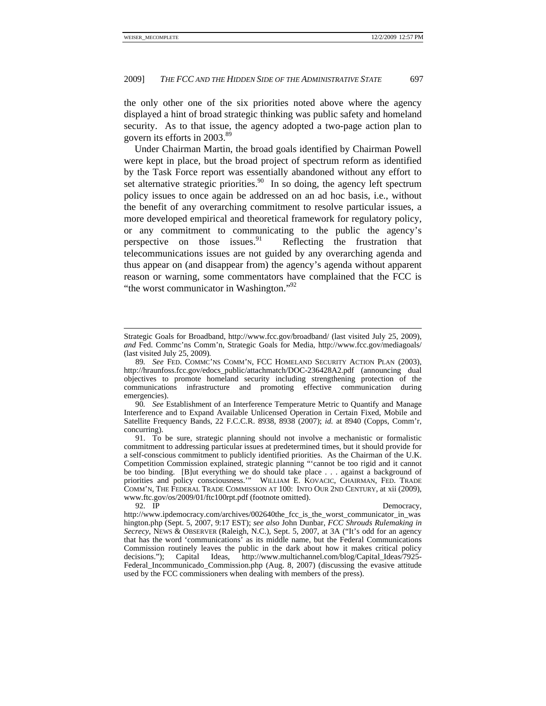the only other one of the six priorities noted above where the agency displayed a hint of broad strategic thinking was public safety and homeland security. As to that issue, the agency adopted a two-page action plan to govern its efforts in 2003.<sup>89</sup>

Under Chairman Martin, the broad goals identified by Chairman Powell were kept in place, but the broad project of spectrum reform as identified by the Task Force report was essentially abandoned without any effort to set alternative strategic priorities. $90$  In so doing, the agency left spectrum policy issues to once again be addressed on an ad hoc basis, i.e., without the benefit of any overarching commitment to resolve particular issues, a more developed empirical and theoretical framework for regulatory policy, or any commitment to communicating to the public the agency's perspective on those issues. $91$  Reflecting the frustration that telecommunications issues are not guided by any overarching agenda and thus appear on (and disappear from) the agency's agenda without apparent reason or warning, some commentators have complained that the FCC is "the worst communicator in Washington."<sup>92</sup>

90*. See* Establishment of an Interference Temperature Metric to Quantify and Manage Interference and to Expand Available Unlicensed Operation in Certain Fixed, Mobile and Satellite Frequency Bands, 22 F.C.C.R. 8938, 8938 (2007); *id.* at 8940 (Copps, Comm'r, concurring).

Strategic Goals for Broadband, http://www.fcc.gov/broadband/ (last visited July 25, 2009), *and* Fed. Commc'ns Comm'n, Strategic Goals for Media, http://www.fcc.gov/mediagoals/ (last visited July 25, 2009)*.*

<sup>89</sup>*. See* FED. COMMC'NS COMM'N, FCC HOMELAND SECURITY ACTION PLAN (2003), http://hraunfoss.fcc.gov/edocs\_public/attachmatch/DOC-236428A2.pdf (announcing dual objectives to promote homeland security including strengthening protection of the communications infrastructure and promoting effective communication during emergencies).

 <sup>91.</sup> To be sure, strategic planning should not involve a mechanistic or formalistic commitment to addressing particular issues at predetermined times, but it should provide for a self-conscious commitment to publicly identified priorities. As the Chairman of the U.K. Competition Commission explained, strategic planning "'cannot be too rigid and it cannot be too binding. [B]ut everything we do should take place . . . against a background of priorities and policy consciousness.'" WILLIAM E. KOVACIC, CHAIRMAN, FED. TRADE COMM'N, THE FEDERAL TRADE COMMISSION AT 100: INTO OUR 2ND CENTURY, at xii (2009), www.ftc.gov/os/2009/01/ftc100rpt.pdf (footnote omitted).<br>92. IP

Democracy,

http://www.ipdemocracy.com/archives/002640the\_fcc\_is\_the\_worst\_communicator\_in\_was hington.php (Sept. 5, 2007, 9:17 EST); *see also* John Dunbar, *FCC Shrouds Rulemaking in Secrecy*, NEWS & OBSERVER (Raleigh, N.C.), Sept. 5, 2007, at 3A ("It's odd for an agency that has the word 'communications' as its middle name, but the Federal Communications Commission routinely leaves the public in the dark about how it makes critical policy decisions."); Capital Ideas, http://www.multichannel.com/blog/Capital\_Ideas/7925- Federal\_Incommunicado\_Commission.php (Aug. 8, 2007) (discussing the evasive attitude used by the FCC commissioners when dealing with members of the press).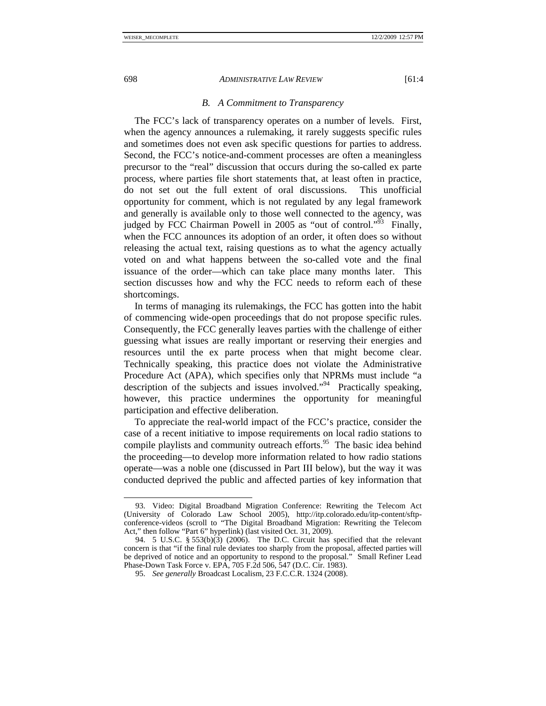#### *B. A Commitment to Transparency*

The FCC's lack of transparency operates on a number of levels. First, when the agency announces a rulemaking, it rarely suggests specific rules and sometimes does not even ask specific questions for parties to address. Second, the FCC's notice-and-comment processes are often a meaningless precursor to the "real" discussion that occurs during the so-called ex parte process, where parties file short statements that, at least often in practice, do not set out the full extent of oral discussions. This unofficial opportunity for comment, which is not regulated by any legal framework and generally is available only to those well connected to the agency, was judged by FCC Chairman Powell in 2005 as "out of control."<sup>53</sup> Finally, when the FCC announces its adoption of an order, it often does so without releasing the actual text, raising questions as to what the agency actually voted on and what happens between the so-called vote and the final issuance of the order—which can take place many months later. This section discusses how and why the FCC needs to reform each of these shortcomings.

In terms of managing its rulemakings, the FCC has gotten into the habit of commencing wide-open proceedings that do not propose specific rules. Consequently, the FCC generally leaves parties with the challenge of either guessing what issues are really important or reserving their energies and resources until the ex parte process when that might become clear. Technically speaking, this practice does not violate the Administrative Procedure Act (APA), which specifies only that NPRMs must include "a description of the subjects and issues involved."<sup>94</sup> Practically speaking, however, this practice undermines the opportunity for meaningful participation and effective deliberation.

To appreciate the real-world impact of the FCC's practice, consider the case of a recent initiative to impose requirements on local radio stations to compile playlists and community outreach efforts.<sup>95</sup> The basic idea behind the proceeding—to develop more information related to how radio stations operate—was a noble one (discussed in Part III below), but the way it was conducted deprived the public and affected parties of key information that

 <sup>93.</sup> Video: Digital Broadband Migration Conference: Rewriting the Telecom Act (University of Colorado Law School 2005), http://itp.colorado.edu/itp-content/sftpconference-videos (scroll to "The Digital Broadband Migration: Rewriting the Telecom Act," then follow "Part 6" hyperlink) (last visited Oct. 31, 2009).

 <sup>94. 5</sup> U.S.C. § 553(b)(3) (2006). The D.C. Circuit has specified that the relevant concern is that "if the final rule deviates too sharply from the proposal, affected parties will be deprived of notice and an opportunity to respond to the proposal." Small Refiner Lead Phase-Down Task Force v. EPA, 705 F.2d 506, 547 (D.C. Cir. 1983).

 <sup>95.</sup> *See generally* Broadcast Localism, 23 F.C.C.R. 1324 (2008).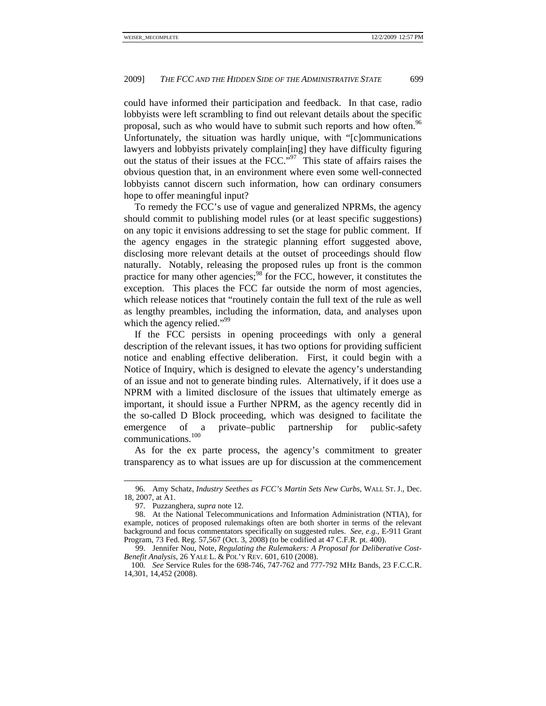could have informed their participation and feedback. In that case, radio lobbyists were left scrambling to find out relevant details about the specific proposal, such as who would have to submit such reports and how often.<sup>96</sup> Unfortunately, the situation was hardly unique, with "[c]ommunications lawyers and lobbyists privately complain[ing] they have difficulty figuring out the status of their issues at the FCC."97 This state of affairs raises the obvious question that, in an environment where even some well-connected lobbyists cannot discern such information, how can ordinary consumers hope to offer meaningful input?

To remedy the FCC's use of vague and generalized NPRMs, the agency should commit to publishing model rules (or at least specific suggestions) on any topic it envisions addressing to set the stage for public comment. If the agency engages in the strategic planning effort suggested above, disclosing more relevant details at the outset of proceedings should flow naturally. Notably, releasing the proposed rules up front is the common practice for many other agencies;  $^{98}$  for the FCC, however, it constitutes the exception. This places the FCC far outside the norm of most agencies, which release notices that "routinely contain the full text of the rule as well as lengthy preambles, including the information, data, and analyses upon which the agency relied."<sup>99</sup>

If the FCC persists in opening proceedings with only a general description of the relevant issues, it has two options for providing sufficient notice and enabling effective deliberation. First, it could begin with a Notice of Inquiry, which is designed to elevate the agency's understanding of an issue and not to generate binding rules. Alternatively, if it does use a NPRM with a limited disclosure of the issues that ultimately emerge as important, it should issue a Further NPRM, as the agency recently did in the so-called D Block proceeding, which was designed to facilitate the emergence of a private–public partnership for public-safety communications.<sup>100</sup>

As for the ex parte process, the agency's commitment to greater transparency as to what issues are up for discussion at the commencement

 <sup>96.</sup> Amy Schatz, *Industry Seethes as FCC's Martin Sets New Curbs*, WALL ST. J., Dec. 18, 2007, at A1.

 <sup>97.</sup> Puzzanghera, *supra* note 12.

 <sup>98.</sup> At the National Telecommunications and Information Administration (NTIA), for example, notices of proposed rulemakings often are both shorter in terms of the relevant background and focus commentators specifically on suggested rules. *See, e.g.*, E-911 Grant Program, 73 Fed. Reg. 57,567 (Oct. 3, 2008) (to be codified at 47 C.F.R. pt. 400).

 <sup>99.</sup> Jennifer Nou, Note, *Regulating the Rulemakers: A Proposal for Deliberative Cost-Benefit Analysis*, 26 YALE L. & POL'Y REV. 601, 610 (2008).

<sup>100</sup>*. See* Service Rules for the 698-746, 747-762 and 777-792 MHz Bands, 23 F.C.C.R. 14,301, 14,452 (2008).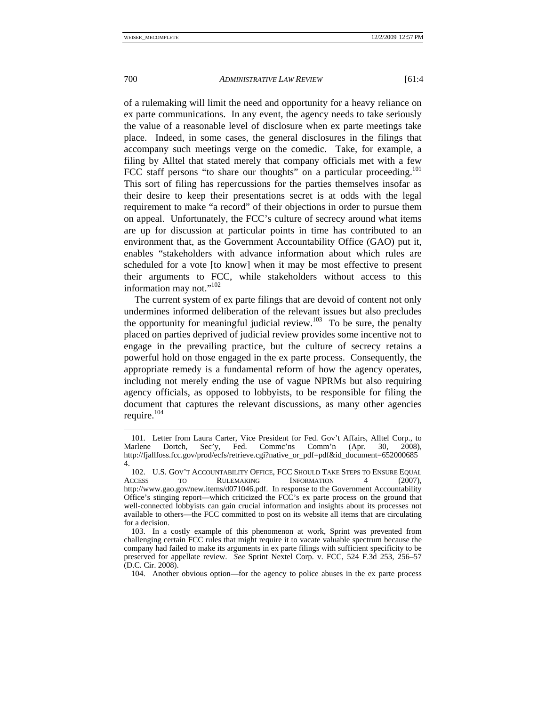of a rulemaking will limit the need and opportunity for a heavy reliance on ex parte communications. In any event, the agency needs to take seriously the value of a reasonable level of disclosure when ex parte meetings take place. Indeed, in some cases, the general disclosures in the filings that accompany such meetings verge on the comedic. Take, for example, a filing by Alltel that stated merely that company officials met with a few FCC staff persons "to share our thoughts" on a particular proceeding.<sup>101</sup> This sort of filing has repercussions for the parties themselves insofar as their desire to keep their presentations secret is at odds with the legal requirement to make "a record" of their objections in order to pursue them on appeal. Unfortunately, the FCC's culture of secrecy around what items are up for discussion at particular points in time has contributed to an environment that, as the Government Accountability Office (GAO) put it, enables "stakeholders with advance information about which rules are scheduled for a vote [to know] when it may be most effective to present their arguments to FCC, while stakeholders without access to this information may not."<sup>102</sup>

The current system of ex parte filings that are devoid of content not only undermines informed deliberation of the relevant issues but also precludes the opportunity for meaningful judicial review.<sup>103</sup> To be sure, the penalty placed on parties deprived of judicial review provides some incentive not to engage in the prevailing practice, but the culture of secrecy retains a powerful hold on those engaged in the ex parte process. Consequently, the appropriate remedy is a fundamental reform of how the agency operates, including not merely ending the use of vague NPRMs but also requiring agency officials, as opposed to lobbyists, to be responsible for filing the document that captures the relevant discussions, as many other agencies require.<sup>104</sup>

 <sup>101.</sup> Letter from Laura Carter, Vice President for Fed. Gov't Affairs, Alltel Corp., to Marlene Dortch, Sec'y, Fed. Commc'ns Comm'n (Apr. 30, 2008), http://fjallfoss.fcc.gov/prod/ecfs/retrieve.cgi?native\_or\_pdf=pdf&id\_document=652000685 4.

 <sup>102.</sup> U.S. GOV'T ACCOUNTABILITY OFFICE, FCC SHOULD TAKE STEPS TO ENSURE EQUAL ACCESS TO RULEMAKING INFORMATION 4 (2007), http://www.gao.gov/new.items/d071046.pdf. In response to the Government Accountability Office's stinging report—which criticized the FCC's ex parte process on the ground that well-connected lobbyists can gain crucial information and insights about its processes not available to others—the FCC committed to post on its website all items that are circulating for a decision.

 <sup>103.</sup> In a costly example of this phenomenon at work, Sprint was prevented from challenging certain FCC rules that might require it to vacate valuable spectrum because the company had failed to make its arguments in ex parte filings with sufficient specificity to be preserved for appellate review. *See* Sprint Nextel Corp. v. FCC, 524 F.3d 253, 256–57 (D.C. Cir. 2008).

 <sup>104.</sup> Another obvious option—for the agency to police abuses in the ex parte process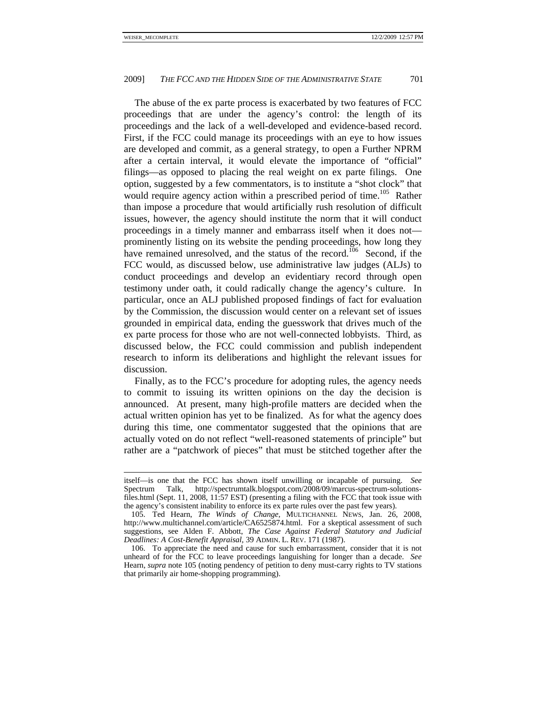The abuse of the ex parte process is exacerbated by two features of FCC proceedings that are under the agency's control: the length of its proceedings and the lack of a well-developed and evidence-based record. First, if the FCC could manage its proceedings with an eye to how issues are developed and commit, as a general strategy, to open a Further NPRM after a certain interval, it would elevate the importance of "official" filings—as opposed to placing the real weight on ex parte filings. One option, suggested by a few commentators, is to institute a "shot clock" that would require agency action within a prescribed period of time.<sup>105</sup> Rather than impose a procedure that would artificially rush resolution of difficult issues, however, the agency should institute the norm that it will conduct proceedings in a timely manner and embarrass itself when it does not prominently listing on its website the pending proceedings, how long they have remained unresolved, and the status of the record.<sup>106</sup> Second, if the FCC would, as discussed below, use administrative law judges (ALJs) to conduct proceedings and develop an evidentiary record through open testimony under oath, it could radically change the agency's culture. In particular, once an ALJ published proposed findings of fact for evaluation by the Commission, the discussion would center on a relevant set of issues grounded in empirical data, ending the guesswork that drives much of the ex parte process for those who are not well-connected lobbyists. Third, as discussed below, the FCC could commission and publish independent research to inform its deliberations and highlight the relevant issues for discussion.

Finally, as to the FCC's procedure for adopting rules, the agency needs to commit to issuing its written opinions on the day the decision is announced. At present, many high-profile matters are decided when the actual written opinion has yet to be finalized. As for what the agency does during this time, one commentator suggested that the opinions that are actually voted on do not reflect "well-reasoned statements of principle" but rather are a "patchwork of pieces" that must be stitched together after the

itself—is one that the FCC has shown itself unwilling or incapable of pursuing. *See*  Spectrum Talk, http://spectrumtalk.blogspot.com/2008/09/marcus-spectrum-solutionsfiles.html (Sept. 11, 2008, 11:57 EST) (presenting a filing with the FCC that took issue with the agency's consistent inability to enforce its ex parte rules over the past few years).

 <sup>105.</sup> Ted Hearn, *The Winds of Change*, MULTICHANNEL NEWS, Jan. 26, 2008, http://www.multichannel.com/article/CA6525874.html. For a skeptical assessment of such suggestions, see Alden F. Abbott, *The Case Against Federal Statutory and Judicial Deadlines: A Cost-Benefit Appraisal*, 39 ADMIN. L. REV. 171 (1987).

 <sup>106.</sup> To appreciate the need and cause for such embarrassment, consider that it is not unheard of for the FCC to leave proceedings languishing for longer than a decade. *See* Hearn, *supra* note 105 (noting pendency of petition to deny must-carry rights to TV stations that primarily air home-shopping programming).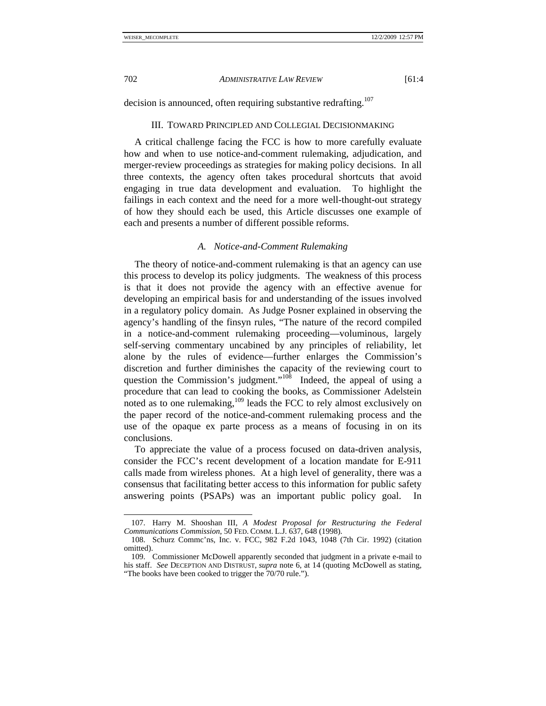decision is announced, often requiring substantive redrafting.<sup>107</sup>

#### III. TOWARD PRINCIPLED AND COLLEGIAL DECISIONMAKING

A critical challenge facing the FCC is how to more carefully evaluate how and when to use notice-and-comment rulemaking, adjudication, and merger-review proceedings as strategies for making policy decisions. In all three contexts, the agency often takes procedural shortcuts that avoid engaging in true data development and evaluation. To highlight the failings in each context and the need for a more well-thought-out strategy of how they should each be used, this Article discusses one example of each and presents a number of different possible reforms.

# *A. Notice-and-Comment Rulemaking*

The theory of notice-and-comment rulemaking is that an agency can use this process to develop its policy judgments. The weakness of this process is that it does not provide the agency with an effective avenue for developing an empirical basis for and understanding of the issues involved in a regulatory policy domain. As Judge Posner explained in observing the agency's handling of the finsyn rules, "The nature of the record compiled in a notice-and-comment rulemaking proceeding—voluminous, largely self-serving commentary uncabined by any principles of reliability, let alone by the rules of evidence—further enlarges the Commission's discretion and further diminishes the capacity of the reviewing court to question the Commission's judgment."<sup>108</sup> Indeed, the appeal of using a procedure that can lead to cooking the books, as Commissioner Adelstein noted as to one rulemaking, $109$  leads the FCC to rely almost exclusively on the paper record of the notice-and-comment rulemaking process and the use of the opaque ex parte process as a means of focusing in on its conclusions.

To appreciate the value of a process focused on data-driven analysis, consider the FCC's recent development of a location mandate for E-911 calls made from wireless phones. At a high level of generality, there was a consensus that facilitating better access to this information for public safety answering points (PSAPs) was an important public policy goal. In

 <sup>107.</sup> Harry M. Shooshan III, *A Modest Proposal for Restructuring the Federal Communications Commission*, 50 FED. COMM. L.J. 637, 648 (1998).

 <sup>108.</sup> Schurz Commc'ns, Inc. v. FCC, 982 F.2d 1043, 1048 (7th Cir. 1992) (citation omitted).

 <sup>109.</sup> Commissioner McDowell apparently seconded that judgment in a private e-mail to his staff. *See* DECEPTION AND DISTRUST, *supra* note 6, at 14 (quoting McDowell as stating, "The books have been cooked to trigger the 70/70 rule.").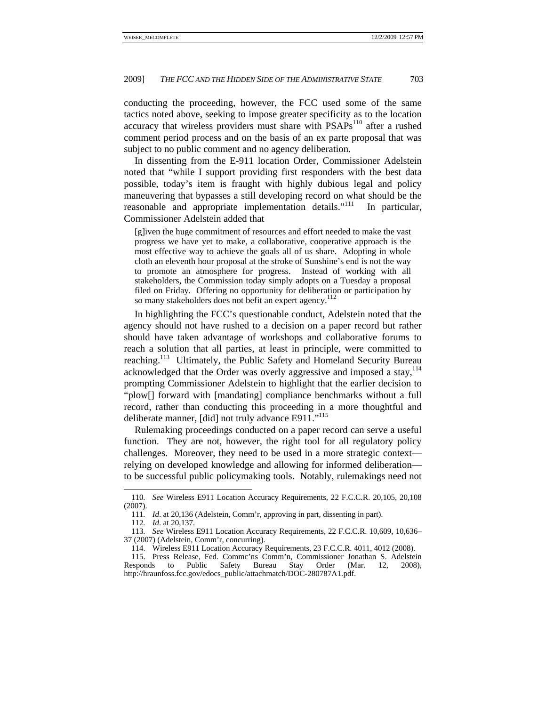conducting the proceeding, however, the FCC used some of the same tactics noted above, seeking to impose greater specificity as to the location accuracy that wireless providers must share with PSAPs<sup>110</sup> after a rushed comment period process and on the basis of an ex parte proposal that was subject to no public comment and no agency deliberation.

In dissenting from the E-911 location Order, Commissioner Adelstein noted that "while I support providing first responders with the best data possible, today's item is fraught with highly dubious legal and policy maneuvering that bypasses a still developing record on what should be the reasonable and appropriate implementation details."<sup>111</sup> In particular, Commissioner Adelstein added that

[g]iven the huge commitment of resources and effort needed to make the vast progress we have yet to make, a collaborative, cooperative approach is the most effective way to achieve the goals all of us share. Adopting in whole cloth an eleventh hour proposal at the stroke of Sunshine's end is not the way to promote an atmosphere for progress. Instead of working with all stakeholders, the Commission today simply adopts on a Tuesday a proposal filed on Friday. Offering no opportunity for deliberation or participation by so many stakeholders does not befit an expert agency.<sup>112</sup>

In highlighting the FCC's questionable conduct, Adelstein noted that the agency should not have rushed to a decision on a paper record but rather should have taken advantage of workshops and collaborative forums to reach a solution that all parties, at least in principle, were committed to reaching.<sup>113</sup> Ultimately, the Public Safety and Homeland Security Bureau acknowledged that the Order was overly aggressive and imposed a stay,  $14$ prompting Commissioner Adelstein to highlight that the earlier decision to "plow[] forward with [mandating] compliance benchmarks without a full record, rather than conducting this proceeding in a more thoughtful and deliberate manner, [did] not truly advance E911."<sup>115</sup>

Rulemaking proceedings conducted on a paper record can serve a useful function. They are not, however, the right tool for all regulatory policy challenges. Moreover, they need to be used in a more strategic context relying on developed knowledge and allowing for informed deliberation to be successful public policymaking tools. Notably, rulemakings need not

<sup>110</sup>*. See* Wireless E911 Location Accuracy Requirements, 22 F.C.C.R. 20,105, 20,108 (2007).

<sup>111</sup>*. Id*. at 20,136 (Adelstein, Comm'r, approving in part, dissenting in part).

<sup>112</sup>*. Id*. at 20,137.

<sup>113</sup>*. See* Wireless E911 Location Accuracy Requirements, 22 F.C.C.R. 10,609, 10,636– 37 (2007) (Adelstein, Comm'r, concurring).

 <sup>114.</sup> Wireless E911 Location Accuracy Requirements, 23 F.C.C.R. 4011, 4012 (2008).

 <sup>115.</sup> Press Release, Fed. Commc'ns Comm'n, Commissioner Jonathan S. Adelstein Responds to Public Safety Bureau Stay Order (Mar. 12, 2008), http://hraunfoss.fcc.gov/edocs\_public/attachmatch/DOC-280787A1.pdf.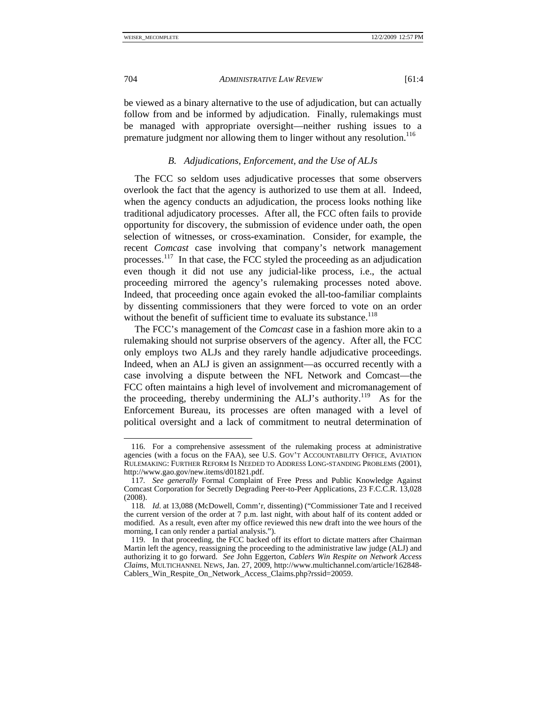be viewed as a binary alternative to the use of adjudication, but can actually follow from and be informed by adjudication. Finally, rulemakings must be managed with appropriate oversight—neither rushing issues to a premature judgment nor allowing them to linger without any resolution.<sup>116</sup>

# *B. Adjudications, Enforcement, and the Use of ALJs*

The FCC so seldom uses adjudicative processes that some observers overlook the fact that the agency is authorized to use them at all. Indeed, when the agency conducts an adjudication, the process looks nothing like traditional adjudicatory processes. After all, the FCC often fails to provide opportunity for discovery, the submission of evidence under oath, the open selection of witnesses, or cross-examination. Consider, for example, the recent *Comcast* case involving that company's network management processes.117 In that case, the FCC styled the proceeding as an adjudication even though it did not use any judicial-like process, i.e., the actual proceeding mirrored the agency's rulemaking processes noted above. Indeed, that proceeding once again evoked the all-too-familiar complaints by dissenting commissioners that they were forced to vote on an order without the benefit of sufficient time to evaluate its substance. $118$ 

The FCC's management of the *Comcast* case in a fashion more akin to a rulemaking should not surprise observers of the agency. After all, the FCC only employs two ALJs and they rarely handle adjudicative proceedings. Indeed, when an ALJ is given an assignment—as occurred recently with a case involving a dispute between the NFL Network and Comcast—the FCC often maintains a high level of involvement and micromanagement of the proceeding, thereby undermining the ALJ's authority.<sup>119</sup> As for the Enforcement Bureau, its processes are often managed with a level of political oversight and a lack of commitment to neutral determination of

 <sup>116.</sup> For a comprehensive assessment of the rulemaking process at administrative agencies (with a focus on the FAA), see U.S. GOV'T ACCOUNTABILITY OFFICE, AVIATION RULEMAKING: FURTHER REFORM IS NEEDED TO ADDRESS LONG-STANDING PROBLEMS (2001), http://www.gao.gov/new.items/d01821.pdf.

<sup>117</sup>*. See generally* Formal Complaint of Free Press and Public Knowledge Against Comcast Corporation for Secretly Degrading Peer-to-Peer Applications, 23 F.C.C.R. 13,028 (2008).

<sup>118</sup>*. Id*. at 13,088 (McDowell, Comm'r, dissenting) ("Commissioner Tate and I received the current version of the order at 7 p.m. last night, with about half of its content added or modified. As a result, even after my office reviewed this new draft into the wee hours of the morning, I can only render a partial analysis.").

 <sup>119.</sup> In that proceeding, the FCC backed off its effort to dictate matters after Chairman Martin left the agency, reassigning the proceeding to the administrative law judge (ALJ) and authorizing it to go forward. *See* John Eggerton, *Cablers Win Respite on Network Access Claims*, MULTICHANNEL NEWS, Jan. 27, 2009, http://www.multichannel.com/article/162848- Cablers Win Respite On Network Access Claims.php?rssid=20059.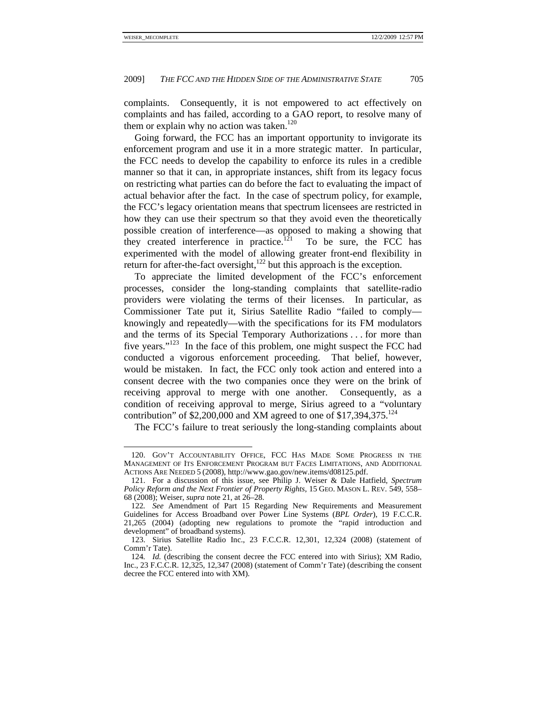complaints. Consequently, it is not empowered to act effectively on complaints and has failed, according to a GAO report, to resolve many of them or explain why no action was taken.<sup>120</sup>

Going forward, the FCC has an important opportunity to invigorate its enforcement program and use it in a more strategic matter. In particular, the FCC needs to develop the capability to enforce its rules in a credible manner so that it can, in appropriate instances, shift from its legacy focus on restricting what parties can do before the fact to evaluating the impact of actual behavior after the fact. In the case of spectrum policy, for example, the FCC's legacy orientation means that spectrum licensees are restricted in how they can use their spectrum so that they avoid even the theoretically possible creation of interference—as opposed to making a showing that they created interference in practice.<sup>121</sup> To be sure, the FCC has experimented with the model of allowing greater front-end flexibility in return for after-the-fact oversight, $122$  but this approach is the exception.

To appreciate the limited development of the FCC's enforcement processes, consider the long-standing complaints that satellite-radio providers were violating the terms of their licenses. In particular, as Commissioner Tate put it, Sirius Satellite Radio "failed to comply knowingly and repeatedly—with the specifications for its FM modulators and the terms of its Special Temporary Authorizations . . . for more than five years."<sup>123</sup> In the face of this problem, one might suspect the FCC had conducted a vigorous enforcement proceeding. That belief, however, would be mistaken. In fact, the FCC only took action and entered into a consent decree with the two companies once they were on the brink of receiving approval to merge with one another. Consequently, as a condition of receiving approval to merge, Sirius agreed to a "voluntary contribution" of \$2,200,000 and XM agreed to one of  $$17,394,375$ <sup>124</sup>

The FCC's failure to treat seriously the long-standing complaints about

 <sup>120.</sup> GOV'T ACCOUNTABILITY OFFICE, FCC HAS MADE SOME PROGRESS IN THE MANAGEMENT OF ITS ENFORCEMENT PROGRAM BUT FACES LIMITATIONS, AND ADDITIONAL ACTIONS ARE NEEDED 5 (2008), http://www.gao.gov/new.items/d08125.pdf.

 <sup>121.</sup> For a discussion of this issue, see Philip J. Weiser & Dale Hatfield, *Spectrum Policy Reform and the Next Frontier of Property Rights*, 15 GEO. MASON L. REV. 549, 558– 68 (2008); Weiser, *supra* note 21, at 26–28.

<sup>122</sup>*. See* Amendment of Part 15 Regarding New Requirements and Measurement Guidelines for Access Broadband over Power Line Systems (*BPL Order*), 19 F.C.C.R. 21,265 (2004) (adopting new regulations to promote the "rapid introduction and development" of broadband systems).

 <sup>123.</sup> Sirius Satellite Radio Inc., 23 F.C.C.R. 12,301, 12,324 (2008) (statement of Comm'r Tate).

<sup>124.</sup> Id. (describing the consent decree the FCC entered into with Sirius); XM Radio, Inc., 23 F.C.C.R. 12,325, 12,347 (2008) (statement of Comm'r Tate) (describing the consent decree the FCC entered into with XM).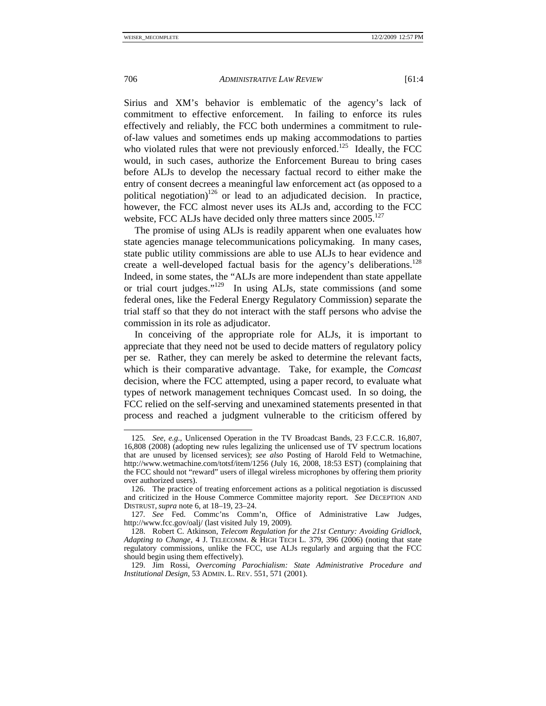Sirius and XM's behavior is emblematic of the agency's lack of commitment to effective enforcement. In failing to enforce its rules effectively and reliably, the FCC both undermines a commitment to ruleof-law values and sometimes ends up making accommodations to parties who violated rules that were not previously enforced.<sup>125</sup> Ideally, the FCC would, in such cases, authorize the Enforcement Bureau to bring cases before ALJs to develop the necessary factual record to either make the entry of consent decrees a meaningful law enforcement act (as opposed to a political negotiation)<sup>126</sup> or lead to an adjudicated decision. In practice, however, the FCC almost never uses its ALJs and, according to the FCC website, FCC ALJs have decided only three matters since 2005.<sup>127</sup>

The promise of using ALJs is readily apparent when one evaluates how state agencies manage telecommunications policymaking. In many cases, state public utility commissions are able to use ALJs to hear evidence and create a well-developed factual basis for the agency's deliberations.<sup>128</sup> Indeed, in some states, the "ALJs are more independent than state appellate or trial court judges."129 In using ALJs, state commissions (and some federal ones, like the Federal Energy Regulatory Commission) separate the trial staff so that they do not interact with the staff persons who advise the commission in its role as adjudicator.

In conceiving of the appropriate role for ALJs, it is important to appreciate that they need not be used to decide matters of regulatory policy per se. Rather, they can merely be asked to determine the relevant facts, which is their comparative advantage. Take, for example, the *Comcast* decision, where the FCC attempted, using a paper record, to evaluate what types of network management techniques Comcast used. In so doing, the FCC relied on the self-serving and unexamined statements presented in that process and reached a judgment vulnerable to the criticism offered by

<sup>125</sup>*. See, e.g.*, Unlicensed Operation in the TV Broadcast Bands, 23 F.C.C.R. 16,807, 16,808 (2008) (adopting new rules legalizing the unlicensed use of TV spectrum locations that are unused by licensed services); *see also* Posting of Harold Feld to Wetmachine, http://www.wetmachine.com/totsf/item/1256 (July 16, 2008, 18:53 EST) (complaining that the FCC should not "reward" users of illegal wireless microphones by offering them priority over authorized users).

 <sup>126.</sup> The practice of treating enforcement actions as a political negotiation is discussed and criticized in the House Commerce Committee majority report. *See* DECEPTION AND DISTRUST, *supra* note 6, at 18–19, 23–24.

<sup>127</sup>*. See* Fed. Commc'ns Comm'n, Office of Administrative Law Judges, http://www.fcc.gov/oalj/ (last visited July 19, 2009).

 <sup>128.</sup> Robert C. Atkinson, *Telecom Regulation for the 21st Century: Avoiding Gridlock, Adapting to Change*, 4 J. TELECOMM. & HIGH TECH L. 379, 396 (2006) (noting that state regulatory commissions, unlike the FCC, use ALJs regularly and arguing that the FCC should begin using them effectively).

 <sup>129.</sup> Jim Rossi, *Overcoming Parochialism: State Administrative Procedure and Institutional Design*, 53 ADMIN. L. REV. 551, 571 (2001).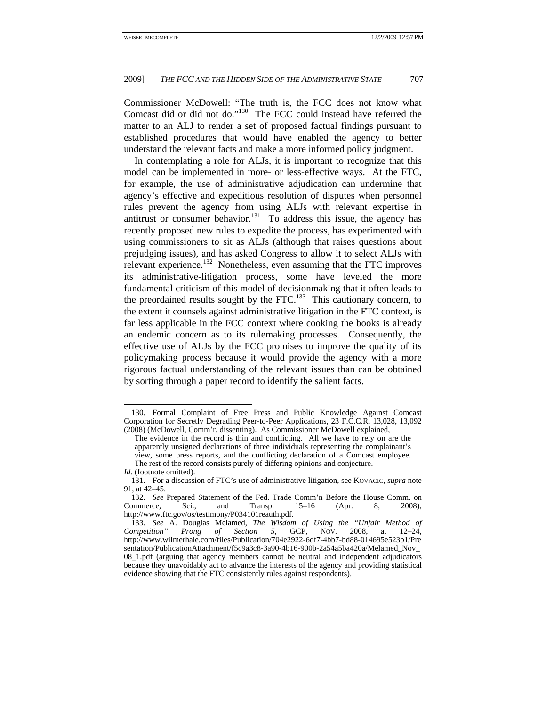Commissioner McDowell: "The truth is, the FCC does not know what Comcast did or did not do."130 The FCC could instead have referred the matter to an ALJ to render a set of proposed factual findings pursuant to established procedures that would have enabled the agency to better understand the relevant facts and make a more informed policy judgment.

In contemplating a role for ALJs, it is important to recognize that this model can be implemented in more- or less-effective ways. At the FTC, for example, the use of administrative adjudication can undermine that agency's effective and expeditious resolution of disputes when personnel rules prevent the agency from using ALJs with relevant expertise in antitrust or consumer behavior.<sup>131</sup> To address this issue, the agency has recently proposed new rules to expedite the process, has experimented with using commissioners to sit as ALJs (although that raises questions about prejudging issues), and has asked Congress to allow it to select ALJs with relevant experience.<sup>132</sup> Nonetheless, even assuming that the FTC improves its administrative-litigation process, some have leveled the more fundamental criticism of this model of decisionmaking that it often leads to the preordained results sought by the FTC.<sup>133</sup> This cautionary concern, to the extent it counsels against administrative litigation in the FTC context, is far less applicable in the FCC context where cooking the books is already an endemic concern as to its rulemaking processes. Consequently, the effective use of ALJs by the FCC promises to improve the quality of its policymaking process because it would provide the agency with a more rigorous factual understanding of the relevant issues than can be obtained by sorting through a paper record to identify the salient facts.

 <sup>130.</sup> Formal Complaint of Free Press and Public Knowledge Against Comcast Corporation for Secretly Degrading Peer-to-Peer Applications, 23 F.C.C.R. 13,028, 13,092 (2008) (McDowell, Comm'r, dissenting). As Commissioner McDowell explained,

The evidence in the record is thin and conflicting. All we have to rely on are the apparently unsigned declarations of three individuals representing the complainant's view, some press reports, and the conflicting declaration of a Comcast employee. The rest of the record consists purely of differing opinions and conjecture.

*Id.* (footnote omitted).

 <sup>131.</sup> For a discussion of FTC's use of administrative litigation, see KOVACIC, *supra* note 91, at 42–45.

<sup>132</sup>*. See* Prepared Statement of the Fed. Trade Comm'n Before the House Comm. on onmerce, Sci., and Transp. 15–16 (Apr. 8. 2008). Commerce, Sci., and Transp. 15–16 (Apr. 8, 2008), http://www.ftc.gov/os/testimony/P034101reauth.pdf.

<sup>133</sup>*. See* A. Douglas Melamed, *The Wisdom of Using the "Unfair Method of Competition" Prong of Section 5*, GCP, NOV. 2008, at 12–24, http://www.wilmerhale.com/files/Publication/704e2922-6df7-4bb7-bd88-014695e523b1/Pre sentation/PublicationAttachment/f5c9a3c8-3a90-4b16-900b-2a54a5ba420a/Melamed\_Nov\_ 08\_1.pdf (arguing that agency members cannot be neutral and independent adjudicators because they unavoidably act to advance the interests of the agency and providing statistical evidence showing that the FTC consistently rules against respondents).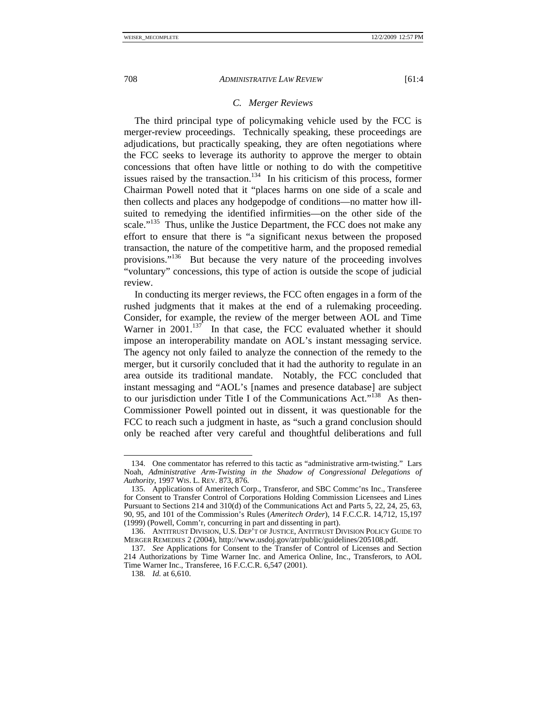The third principal type of policymaking vehicle used by the FCC is merger-review proceedings. Technically speaking, these proceedings are adjudications, but practically speaking, they are often negotiations where the FCC seeks to leverage its authority to approve the merger to obtain concessions that often have little or nothing to do with the competitive issues raised by the transaction.<sup>134</sup> In his criticism of this process, former Chairman Powell noted that it "places harms on one side of a scale and then collects and places any hodgepodge of conditions—no matter how illsuited to remedying the identified infirmities—on the other side of the scale."<sup>135</sup> Thus, unlike the Justice Department, the FCC does not make any effort to ensure that there is "a significant nexus between the proposed transaction, the nature of the competitive harm, and the proposed remedial provisions."<sup>136</sup> But because the very nature of the proceeding involves "voluntary" concessions, this type of action is outside the scope of judicial review.

In conducting its merger reviews, the FCC often engages in a form of the rushed judgments that it makes at the end of a rulemaking proceeding. Consider, for example, the review of the merger between AOL and Time Warner in  $2001$ .<sup>137</sup> In that case, the FCC evaluated whether it should impose an interoperability mandate on AOL's instant messaging service. The agency not only failed to analyze the connection of the remedy to the merger, but it cursorily concluded that it had the authority to regulate in an area outside its traditional mandate. Notably, the FCC concluded that instant messaging and "AOL's [names and presence database] are subject to our jurisdiction under Title I of the Communications Act."<sup>138</sup> As then-Commissioner Powell pointed out in dissent, it was questionable for the FCC to reach such a judgment in haste, as "such a grand conclusion should only be reached after very careful and thoughtful deliberations and full

 <sup>134.</sup> One commentator has referred to this tactic as "administrative arm-twisting." Lars Noah, *Administrative Arm-Twisting in the Shadow of Congressional Delegations of Authority*, 1997 WIS. L. REV. 873, 876.

 <sup>135.</sup> Applications of Ameritech Corp., Transferor, and SBC Commc'ns Inc., Transferee for Consent to Transfer Control of Corporations Holding Commission Licensees and Lines Pursuant to Sections 214 and 310(d) of the Communications Act and Parts 5, 22, 24, 25, 63, 90, 95, and 101 of the Commission's Rules (*Ameritech Order*), 14 F.C.C.R. 14,712, 15,197 (1999) (Powell, Comm'r, concurring in part and dissenting in part).

 <sup>136.</sup> ANTITRUST DIVISION, U.S. DEP'T OF JUSTICE, ANTITRUST DIVISION POLICY GUIDE TO MERGER REMEDIES 2 (2004), http://www.usdoj.gov/atr/public/guidelines/205108.pdf.

<sup>137</sup>*. See* Applications for Consent to the Transfer of Control of Licenses and Section 214 Authorizations by Time Warner Inc. and America Online, Inc., Transferors, to AOL Time Warner Inc., Transferee, 16 F.C.C.R. 6,547 (2001).

<sup>138</sup>*. Id.* at 6,610.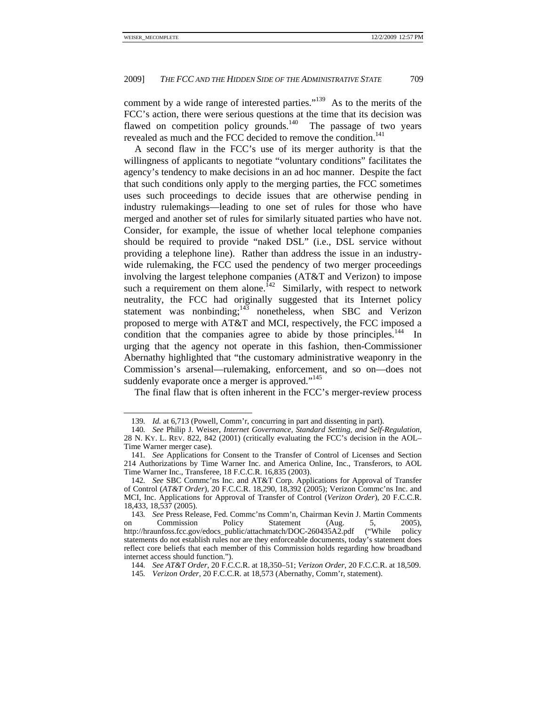comment by a wide range of interested parties."139 As to the merits of the FCC's action, there were serious questions at the time that its decision was flawed on competition policy grounds.<sup>140</sup> The passage of two years revealed as much and the FCC decided to remove the condition.<sup>141</sup>

A second flaw in the FCC's use of its merger authority is that the willingness of applicants to negotiate "voluntary conditions" facilitates the agency's tendency to make decisions in an ad hoc manner. Despite the fact that such conditions only apply to the merging parties, the FCC sometimes uses such proceedings to decide issues that are otherwise pending in industry rulemakings—leading to one set of rules for those who have merged and another set of rules for similarly situated parties who have not. Consider, for example, the issue of whether local telephone companies should be required to provide "naked DSL" (i.e., DSL service without providing a telephone line). Rather than address the issue in an industrywide rulemaking, the FCC used the pendency of two merger proceedings involving the largest telephone companies (AT&T and Verizon) to impose such a requirement on them alone.<sup> $142$ </sup> Similarly, with respect to network neutrality, the FCC had originally suggested that its Internet policy statement was nonbinding; $143$  nonetheless, when SBC and Verizon proposed to merge with AT&T and MCI, respectively, the FCC imposed a condition that the companies agree to abide by those principles.<sup>144</sup> In urging that the agency not operate in this fashion, then-Commissioner Abernathy highlighted that "the customary administrative weaponry in the Commission's arsenal—rulemaking, enforcement, and so on—does not suddenly evaporate once a merger is approved."<sup>145</sup>

The final flaw that is often inherent in the FCC's merger-review process

<sup>139</sup>*. Id.* at 6,713 (Powell, Comm'r, concurring in part and dissenting in part).

<sup>140</sup>*. See* Philip J. Weiser, *Internet Governance, Standard Setting, and Self-Regulation*, 28 N. KY. L. REV. 822, 842 (2001) (critically evaluating the FCC's decision in the AOL– Time Warner merger case).

<sup>141</sup>*. See* Applications for Consent to the Transfer of Control of Licenses and Section 214 Authorizations by Time Warner Inc. and America Online, Inc., Transferors, to AOL Time Warner Inc., Transferee, 18 F.C.C.R. 16,835 (2003).

<sup>142</sup>*. See* SBC Commc'ns Inc. and AT&T Corp. Applications for Approval of Transfer of Control (*AT&T Order*), 20 F.C.C.R. 18,290, 18,392 (2005); Verizon Commc'ns Inc. and MCI, Inc. Applications for Approval of Transfer of Control (*Verizon Order*), 20 F.C.C.R. 18,433, 18,537 (2005).

<sup>143</sup>*. See* Press Release, Fed. Commc'ns Comm'n, Chairman Kevin J. Martin Comments on Commission Policy Statement (Aug. 5, 2005), http://hraunfoss.fcc.gov/edocs\_public/attachmatch/DOC-260435A2.pdf ("While policy statements do not establish rules nor are they enforceable documents, today's statement does reflect core beliefs that each member of this Commission holds regarding how broadband internet access should function.").

<sup>144</sup>*. See AT&T Order*, 20 F.C.C.R. at 18,350–51; *Verizon Order*, 20 F.C.C.R. at 18,509.

<sup>145</sup>*. Verizon Order*, 20 F.C.C.R. at 18,573 (Abernathy, Comm'r, statement).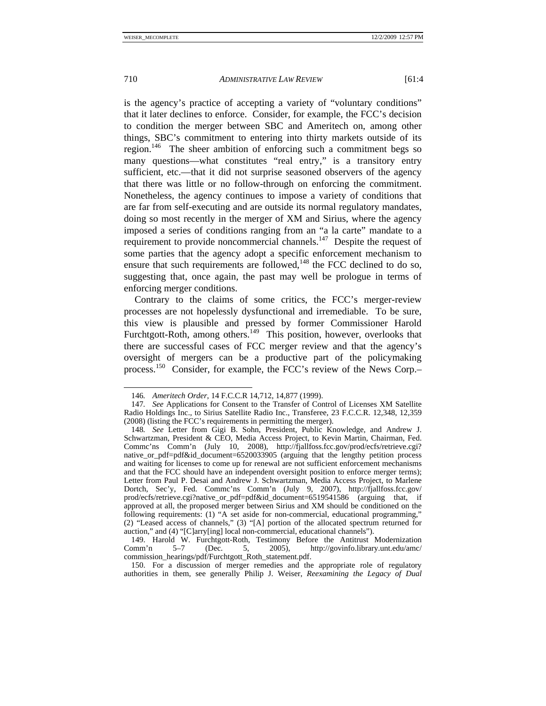is the agency's practice of accepting a variety of "voluntary conditions" that it later declines to enforce. Consider, for example, the FCC's decision to condition the merger between SBC and Ameritech on, among other things, SBC's commitment to entering into thirty markets outside of its region.<sup>146</sup> The sheer ambition of enforcing such a commitment begs so many questions—what constitutes "real entry," is a transitory entry sufficient, etc.—that it did not surprise seasoned observers of the agency that there was little or no follow-through on enforcing the commitment. Nonetheless, the agency continues to impose a variety of conditions that are far from self-executing and are outside its normal regulatory mandates, doing so most recently in the merger of XM and Sirius, where the agency imposed a series of conditions ranging from an "a la carte" mandate to a requirement to provide noncommercial channels.<sup>147</sup> Despite the request of some parties that the agency adopt a specific enforcement mechanism to ensure that such requirements are followed, $148$  the FCC declined to do so, suggesting that, once again, the past may well be prologue in terms of enforcing merger conditions.

Contrary to the claims of some critics, the FCC's merger-review processes are not hopelessly dysfunctional and irremediable. To be sure, this view is plausible and pressed by former Commissioner Harold Furchtgott-Roth, among others.<sup>149</sup> This position, however, overlooks that there are successful cases of FCC merger review and that the agency's oversight of mergers can be a productive part of the policymaking process.150 Consider, for example, the FCC's review of the News Corp.–

<sup>146</sup>*. Ameritech Order*, 14 F.C.C.R 14,712, 14,877 (1999).

<sup>147</sup>*. See* Applications for Consent to the Transfer of Control of Licenses XM Satellite Radio Holdings Inc., to Sirius Satellite Radio Inc., Transferee, 23 F.C.C.R. 12,348, 12,359 (2008) (listing the FCC's requirements in permitting the merger).

<sup>148</sup>*. See* Letter from Gigi B. Sohn, President, Public Knowledge, and Andrew J. Schwartzman, President & CEO, Media Access Project, to Kevin Martin, Chairman, Fed. Commc'ns Comm'n (July 10, 2008), http://fjallfoss.fcc.gov/prod/ecfs/retrieve.cgi? native\_or\_pdf=pdf&id\_document=6520033905 (arguing that the lengthy petition process and waiting for licenses to come up for renewal are not sufficient enforcement mechanisms and that the FCC should have an independent oversight position to enforce merger terms); Letter from Paul P. Desai and Andrew J. Schwartzman, Media Access Project, to Marlene Dortch, Sec'y, Fed. Commc'ns Comm'n (July 9, 2007), http://fjallfoss.fcc.gov/ prod/ecfs/retrieve.cgi?native\_or\_pdf=pdf&id\_document=6519541586 (arguing that, if approved at all, the proposed merger between Sirius and XM should be conditioned on the following requirements: (1) "A set aside for non-commercial, educational programming," (2) "Leased access of channels," (3) "[A] portion of the allocated spectrum returned for auction," and (4) "[C]arry[ing] local non-commercial, educational channels").

<sup>149.</sup> Harold W. Furchtgott-Roth, Testimony Before the Antitrust Modernization<br>
2005), http://govinfo.library.unt.edu/amc/ Comm'n 5–7 (Dec. 5, 2005), http://govinfo.library.unt.edu/amc/ commission\_hearings/pdf/Furchtgott\_Roth\_statement.pdf.

 <sup>150.</sup> For a discussion of merger remedies and the appropriate role of regulatory authorities in them, see generally Philip J. Weiser, *Reexamining the Legacy of Dual*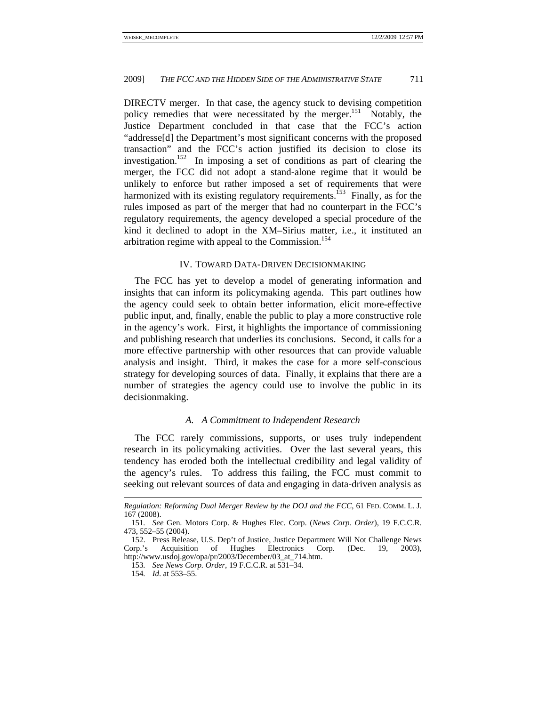DIRECTV merger. In that case, the agency stuck to devising competition policy remedies that were necessitated by the merger.<sup>151</sup> Notably, the Justice Department concluded in that case that the FCC's action "addresse[d] the Department's most significant concerns with the proposed transaction" and the FCC's action justified its decision to close its investigation.152 In imposing a set of conditions as part of clearing the merger, the FCC did not adopt a stand-alone regime that it would be unlikely to enforce but rather imposed a set of requirements that were harmonized with its existing regulatory requirements.<sup>153</sup> Finally, as for the rules imposed as part of the merger that had no counterpart in the FCC's regulatory requirements, the agency developed a special procedure of the kind it declined to adopt in the XM–Sirius matter, i.e., it instituted an arbitration regime with appeal to the Commission.<sup>154</sup>

#### IV. TOWARD DATA-DRIVEN DECISIONMAKING

The FCC has yet to develop a model of generating information and insights that can inform its policymaking agenda. This part outlines how the agency could seek to obtain better information, elicit more-effective public input, and, finally, enable the public to play a more constructive role in the agency's work. First, it highlights the importance of commissioning and publishing research that underlies its conclusions. Second, it calls for a more effective partnership with other resources that can provide valuable analysis and insight. Third, it makes the case for a more self-conscious strategy for developing sources of data. Finally, it explains that there are a number of strategies the agency could use to involve the public in its decisionmaking.

#### *A. A Commitment to Independent Research*

The FCC rarely commissions, supports, or uses truly independent research in its policymaking activities. Over the last several years, this tendency has eroded both the intellectual credibility and legal validity of the agency's rules. To address this failing, the FCC must commit to seeking out relevant sources of data and engaging in data-driven analysis as

*Regulation: Reforming Dual Merger Review by the DOJ and the FCC*, 61 FED. COMM. L. J. 167 (2008).

<sup>151</sup>*. See* Gen. Motors Corp. & Hughes Elec. Corp. (*News Corp. Order*), 19 F.C.C.R. 473, 552–55 (2004).

 <sup>152.</sup> Press Release, U.S. Dep't of Justice, Justice Department Will Not Challenge News Corp.'s Acquisition of Hughes Electronics Corp. (Dec. 19, 2003), http://www.usdoj.gov/opa/pr/2003/December/03\_at\_714.htm.

<sup>153</sup>*. See News Corp. Order*, 19 F.C.C.R. at 531–34.

<sup>154</sup>*. Id*. at 553–55.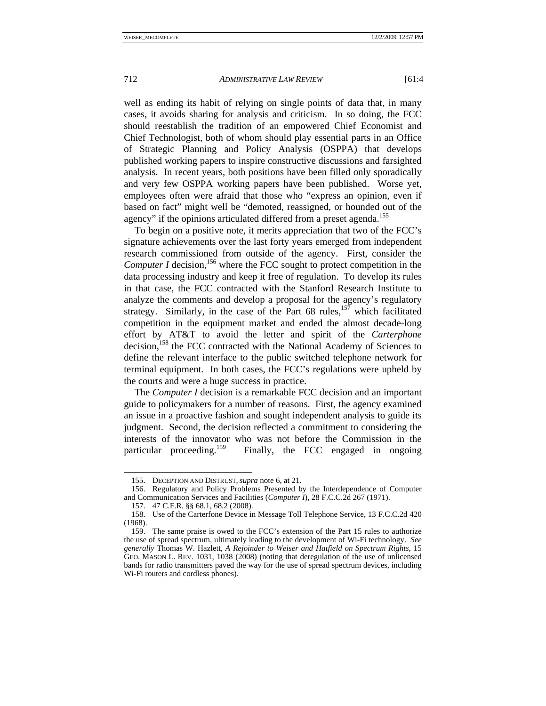well as ending its habit of relying on single points of data that, in many cases, it avoids sharing for analysis and criticism. In so doing, the FCC should reestablish the tradition of an empowered Chief Economist and Chief Technologist, both of whom should play essential parts in an Office of Strategic Planning and Policy Analysis (OSPPA) that develops published working papers to inspire constructive discussions and farsighted analysis. In recent years, both positions have been filled only sporadically and very few OSPPA working papers have been published. Worse yet, employees often were afraid that those who "express an opinion, even if based on fact" might well be "demoted, reassigned, or hounded out of the agency" if the opinions articulated differed from a preset agenda.<sup>155</sup>

To begin on a positive note, it merits appreciation that two of the FCC's signature achievements over the last forty years emerged from independent research commissioned from outside of the agency. First, consider the *Computer I* decision,<sup>156</sup> where the FCC sought to protect competition in the data processing industry and keep it free of regulation. To develop its rules in that case, the FCC contracted with the Stanford Research Institute to analyze the comments and develop a proposal for the agency's regulatory strategy. Similarly, in the case of the Part 68 rules,  $15^{\overline{7}}$  which facilitated competition in the equipment market and ended the almost decade-long effort by AT&T to avoid the letter and spirit of the *Carterphone* decision,<sup>158</sup> the FCC contracted with the National Academy of Sciences to define the relevant interface to the public switched telephone network for terminal equipment. In both cases, the FCC's regulations were upheld by the courts and were a huge success in practice.

The *Computer I* decision is a remarkable FCC decision and an important guide to policymakers for a number of reasons. First, the agency examined an issue in a proactive fashion and sought independent analysis to guide its judgment. Second, the decision reflected a commitment to considering the interests of the innovator who was not before the Commission in the particular proceeding.<sup>159</sup> Finally, the FCC engaged in ongoing Finally, the FCC engaged in ongoing.

 <sup>155.</sup> DECEPTION AND DISTRUST, *supra* note 6, at 21.

 <sup>156.</sup> Regulatory and Policy Problems Presented by the Interdependence of Computer and Communication Services and Facilities (*Computer I*), 28 F.C.C.2d 267 (1971).

 <sup>157. 47</sup> C.F.R. §§ 68.1, 68.2 (2008).

 <sup>158.</sup> Use of the Carterfone Device in Message Toll Telephone Service, 13 F.C.C.2d 420 (1968).

 <sup>159.</sup> The same praise is owed to the FCC's extension of the Part 15 rules to authorize the use of spread spectrum, ultimately leading to the development of Wi-Fi technology. *See generally* Thomas W. Hazlett, *A Rejoinder to Weiser and Hatfield on Spectrum Rights*, 15 GEO. MASON L. REV. 1031, 1038 (2008) (noting that deregulation of the use of unlicensed bands for radio transmitters paved the way for the use of spread spectrum devices, including Wi-Fi routers and cordless phones).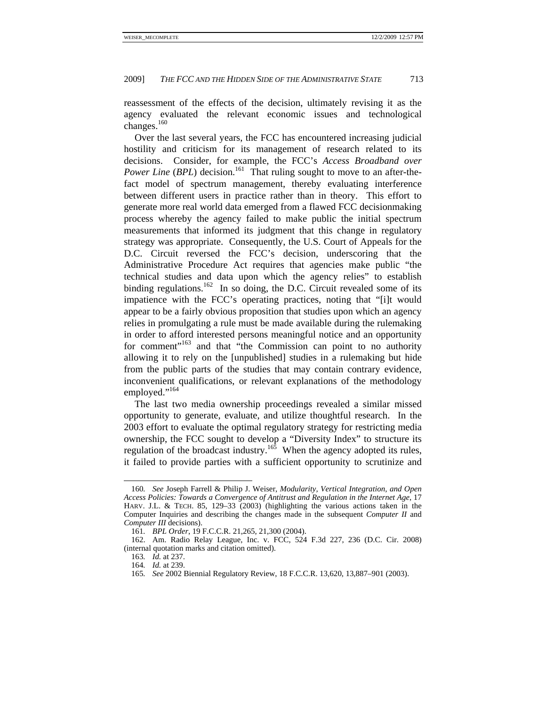reassessment of the effects of the decision, ultimately revising it as the agency evaluated the relevant economic issues and technological changes.<sup>160</sup>

Over the last several years, the FCC has encountered increasing judicial hostility and criticism for its management of research related to its decisions. Consider, for example, the FCC's *Access Broadband over Power Line* (*BPL*) decision.<sup>161</sup> That ruling sought to move to an after-thefact model of spectrum management, thereby evaluating interference between different users in practice rather than in theory. This effort to generate more real world data emerged from a flawed FCC decisionmaking process whereby the agency failed to make public the initial spectrum measurements that informed its judgment that this change in regulatory strategy was appropriate. Consequently, the U.S. Court of Appeals for the D.C. Circuit reversed the FCC's decision, underscoring that the Administrative Procedure Act requires that agencies make public "the technical studies and data upon which the agency relies" to establish binding regulations.<sup>162</sup> In so doing, the D.C. Circuit revealed some of its impatience with the FCC's operating practices, noting that "[i]t would appear to be a fairly obvious proposition that studies upon which an agency relies in promulgating a rule must be made available during the rulemaking in order to afford interested persons meaningful notice and an opportunity for comment"<sup>163</sup> and that "the Commission can point to no authority allowing it to rely on the [unpublished] studies in a rulemaking but hide from the public parts of the studies that may contain contrary evidence, inconvenient qualifications, or relevant explanations of the methodology employed."<sup>164</sup>

The last two media ownership proceedings revealed a similar missed opportunity to generate, evaluate, and utilize thoughtful research. In the 2003 effort to evaluate the optimal regulatory strategy for restricting media ownership, the FCC sought to develop a "Diversity Index" to structure its regulation of the broadcast industry.<sup>165</sup> When the agency adopted its rules, it failed to provide parties with a sufficient opportunity to scrutinize and

<sup>160</sup>*. See* Joseph Farrell & Philip J. Weiser, *Modularity, Vertical Integration, and Open Access Policies: Towards a Convergence of Antitrust and Regulation in the Internet Age*, 17 HARV. J.L. & TECH. 85, 129–33 (2003) (highlighting the various actions taken in the Computer Inquiries and describing the changes made in the subsequent *Computer II* and *Computer III* decisions).

<sup>161</sup>*. BPL Order*, 19 F.C.C.R. 21,265, 21,300 (2004).

 <sup>162.</sup> Am. Radio Relay League, Inc. v. FCC, 524 F.3d 227, 236 (D.C. Cir. 2008) (internal quotation marks and citation omitted).

<sup>163</sup>*. Id.* at 237.

<sup>164</sup>*. Id.* at 239.

<sup>165</sup>*. See* 2002 Biennial Regulatory Review, 18 F.C.C.R. 13,620, 13,887–901 (2003).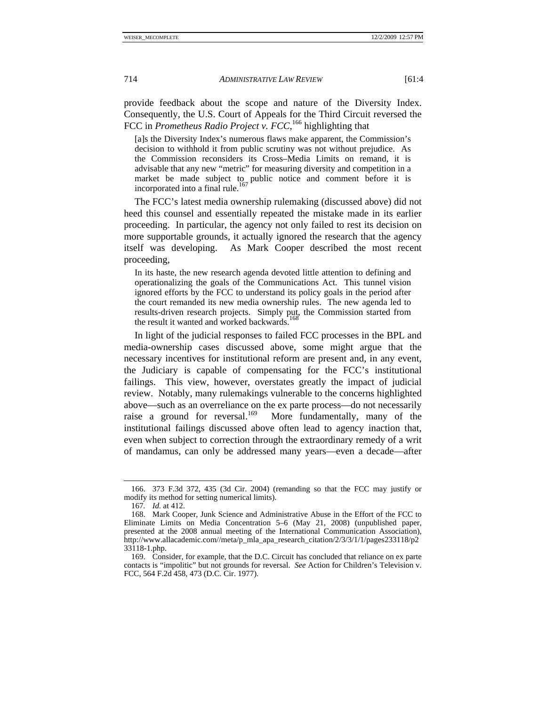provide feedback about the scope and nature of the Diversity Index. Consequently, the U.S. Court of Appeals for the Third Circuit reversed the FCC in *Prometheus Radio Project v. FCC*, 166 highlighting that

[a]s the Diversity Index's numerous flaws make apparent, the Commission's decision to withhold it from public scrutiny was not without prejudice. As the Commission reconsiders its Cross–Media Limits on remand, it is advisable that any new "metric" for measuring diversity and competition in a market be made subject to public notice and comment before it is incorporated into a final rule.<sup>167</sup>

The FCC's latest media ownership rulemaking (discussed above) did not heed this counsel and essentially repeated the mistake made in its earlier proceeding. In particular, the agency not only failed to rest its decision on more supportable grounds, it actually ignored the research that the agency itself was developing. As Mark Cooper described the most recent proceeding,

In its haste, the new research agenda devoted little attention to defining and operationalizing the goals of the Communications Act. This tunnel vision ignored efforts by the FCC to understand its policy goals in the period after the court remanded its new media ownership rules. The new agenda led to results-driven research projects. Simply put, the Commission started from the result it wanted and worked backwards.<sup>1</sup>

In light of the judicial responses to failed FCC processes in the BPL and media-ownership cases discussed above, some might argue that the necessary incentives for institutional reform are present and, in any event, the Judiciary is capable of compensating for the FCC's institutional failings. This view, however, overstates greatly the impact of judicial review. Notably, many rulemakings vulnerable to the concerns highlighted above—such as an overreliance on the ex parte process—do not necessarily raise a ground for reversal.<sup>169</sup> More fundamentally, many of the institutional failings discussed above often lead to agency inaction that, even when subject to correction through the extraordinary remedy of a writ of mandamus, can only be addressed many years—even a decade—after

 <sup>166. 373</sup> F.3d 372, 435 (3d Cir. 2004) (remanding so that the FCC may justify or modify its method for setting numerical limits).

<sup>167</sup>*. Id.* at 412.

 <sup>168.</sup> Mark Cooper, Junk Science and Administrative Abuse in the Effort of the FCC to Eliminate Limits on Media Concentration 5–6 (May 21, 2008) (unpublished paper, presented at the 2008 annual meeting of the International Communication Association), http://www.allacademic.com//meta/p\_mla\_apa\_research\_citation/2/3/3/1/1/pages233118/p2 33118-1.php.

 <sup>169.</sup> Consider, for example, that the D.C. Circuit has concluded that reliance on ex parte contacts is "impolitic" but not grounds for reversal. *See* Action for Children's Television v. FCC, 564 F.2d 458, 473 (D.C. Cir. 1977).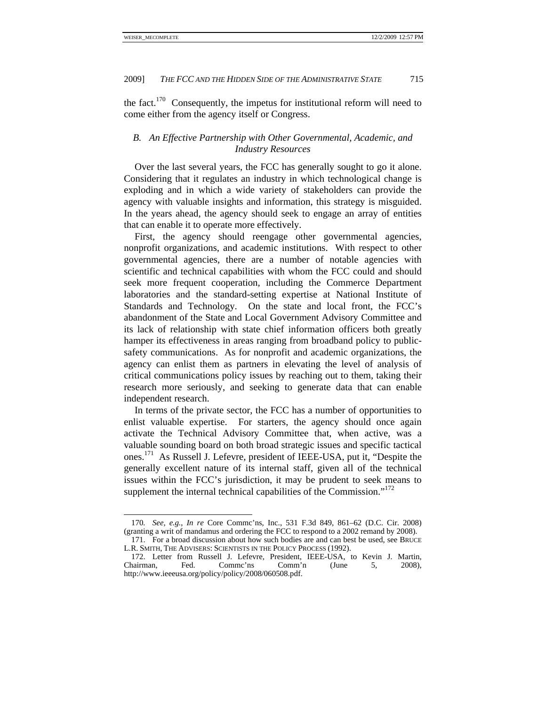the fact.<sup>170</sup> Consequently, the impetus for institutional reform will need to come either from the agency itself or Congress.

# *B. An Effective Partnership with Other Governmental, Academic, and Industry Resources*

Over the last several years, the FCC has generally sought to go it alone. Considering that it regulates an industry in which technological change is exploding and in which a wide variety of stakeholders can provide the agency with valuable insights and information, this strategy is misguided. In the years ahead, the agency should seek to engage an array of entities that can enable it to operate more effectively.

First, the agency should reengage other governmental agencies, nonprofit organizations, and academic institutions. With respect to other governmental agencies, there are a number of notable agencies with scientific and technical capabilities with whom the FCC could and should seek more frequent cooperation, including the Commerce Department laboratories and the standard-setting expertise at National Institute of Standards and Technology. On the state and local front, the FCC's abandonment of the State and Local Government Advisory Committee and its lack of relationship with state chief information officers both greatly hamper its effectiveness in areas ranging from broadband policy to publicsafety communications. As for nonprofit and academic organizations, the agency can enlist them as partners in elevating the level of analysis of critical communications policy issues by reaching out to them, taking their research more seriously, and seeking to generate data that can enable independent research.

In terms of the private sector, the FCC has a number of opportunities to enlist valuable expertise. For starters, the agency should once again activate the Technical Advisory Committee that, when active, was a valuable sounding board on both broad strategic issues and specific tactical ones.171 As Russell J. Lefevre, president of IEEE-USA, put it, "Despite the generally excellent nature of its internal staff, given all of the technical issues within the FCC's jurisdiction, it may be prudent to seek means to supplement the internal technical capabilities of the Commission."<sup>172</sup>

<sup>170</sup>*. See, e.g.*, *In re* Core Commc'ns, Inc., 531 F.3d 849, 861–62 (D.C. Cir. 2008) (granting a writ of mandamus and ordering the FCC to respond to a 2002 remand by 2008).

 <sup>171.</sup> For a broad discussion about how such bodies are and can best be used, see BRUCE L.R. SMITH, THE ADVISERS: SCIENTISTS IN THE POLICY PROCESS (1992).

 <sup>172.</sup> Letter from Russell J. Lefevre, President, IEEE-USA, to Kevin J. Martin, Chairman, Fed. Commc'ns Comm'n (June 5, 2008), http://www.ieeeusa.org/policy/policy/2008/060508.pdf.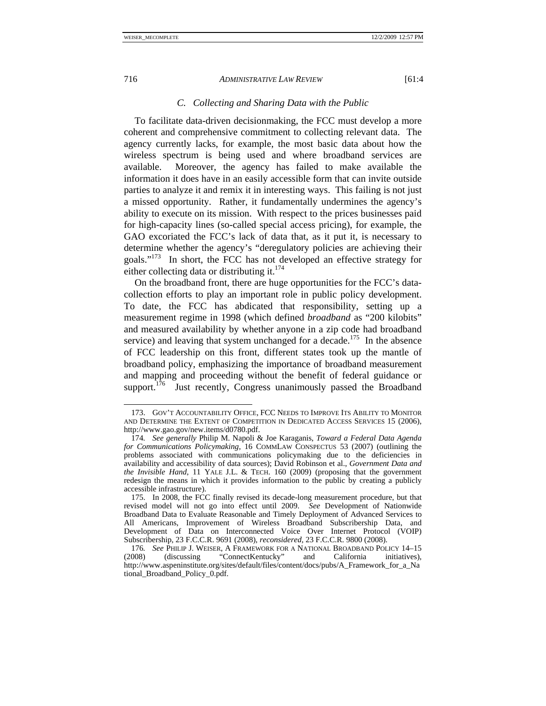# *C. Collecting and Sharing Data with the Public*

To facilitate data-driven decisionmaking, the FCC must develop a more coherent and comprehensive commitment to collecting relevant data. The agency currently lacks, for example, the most basic data about how the wireless spectrum is being used and where broadband services are available. Moreover, the agency has failed to make available the information it does have in an easily accessible form that can invite outside parties to analyze it and remix it in interesting ways. This failing is not just a missed opportunity. Rather, it fundamentally undermines the agency's ability to execute on its mission. With respect to the prices businesses paid for high-capacity lines (so-called special access pricing), for example, the GAO excoriated the FCC's lack of data that, as it put it, is necessary to determine whether the agency's "deregulatory policies are achieving their goals."173 In short, the FCC has not developed an effective strategy for either collecting data or distributing it. $174$ 

On the broadband front, there are huge opportunities for the FCC's datacollection efforts to play an important role in public policy development. To date, the FCC has abdicated that responsibility, setting up a measurement regime in 1998 (which defined *broadband* as "200 kilobits" and measured availability by whether anyone in a zip code had broadband service) and leaving that system unchanged for a decade.<sup>175</sup> In the absence of FCC leadership on this front, different states took up the mantle of broadband policy, emphasizing the importance of broadband measurement and mapping and proceeding without the benefit of federal guidance or support. $176$  Just recently, Congress unanimously passed the Broadband

 <sup>173.</sup> GOV'T ACCOUNTABILITY OFFICE, FCC NEEDS TO IMPROVE ITS ABILITY TO MONITOR AND DETERMINE THE EXTENT OF COMPETITION IN DEDICATED ACCESS SERVICES 15 (2006), http://www.gao.gov/new.items/d0780.pdf.

<sup>174</sup>*. See generally* Philip M. Napoli & Joe Karaganis, *Toward a Federal Data Agenda for Communications Policymaking*, 16 COMMLAW CONSPECTUS 53 (2007) (outlining the problems associated with communications policymaking due to the deficiencies in availability and accessibility of data sources); David Robinson et al., *Government Data and the Invisible Hand*, 11 YALE J.L. & TECH. 160 (2009) (proposing that the government redesign the means in which it provides information to the public by creating a publicly accessible infrastructure).

 <sup>175.</sup> In 2008, the FCC finally revised its decade-long measurement procedure, but that revised model will not go into effect until 2009. *See* Development of Nationwide Broadband Data to Evaluate Reasonable and Timely Deployment of Advanced Services to All Americans, Improvement of Wireless Broadband Subscribership Data, and Development of Data on Interconnected Voice Over Internet Protocol (VOIP) Subscribership, 23 F.C.C.R. 9691 (2008), *reconsidered*, 23 F.C.C.R. 9800 (2008).

<sup>176</sup>*. See* PHILIP J. WEISER, A FRAMEWORK FOR A NATIONAL BROADBAND POLICY 14–15<br>008) (discussing "ConnectKentucky" and California initiatives). (2008) (discussing "ConnectKentucky" and California initiatives), http://www.aspeninstitute.org/sites/default/files/content/docs/pubs/A\_Framework\_for\_a\_Na tional\_Broadband\_Policy\_0.pdf.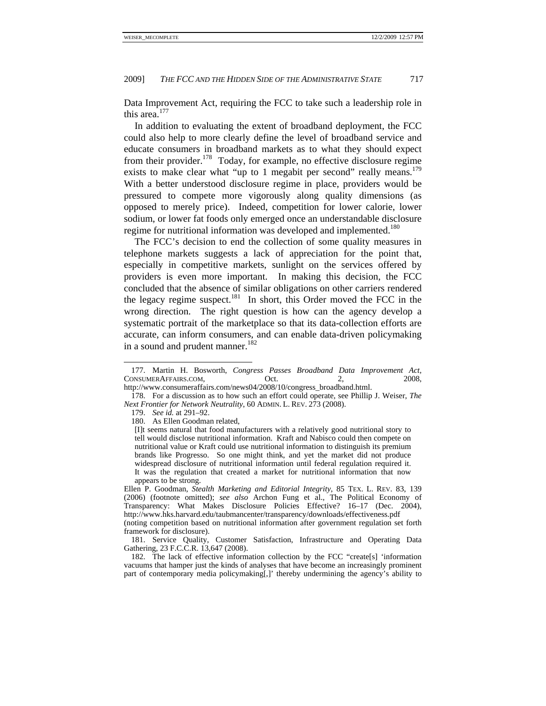Data Improvement Act, requiring the FCC to take such a leadership role in this area.<sup>177</sup>

In addition to evaluating the extent of broadband deployment, the FCC could also help to more clearly define the level of broadband service and educate consumers in broadband markets as to what they should expect from their provider.<sup>178</sup> Today, for example, no effective disclosure regime exists to make clear what "up to 1 megabit per second" really means.<sup>179</sup> With a better understood disclosure regime in place, providers would be pressured to compete more vigorously along quality dimensions (as opposed to merely price). Indeed, competition for lower calorie, lower sodium, or lower fat foods only emerged once an understandable disclosure regime for nutritional information was developed and implemented.<sup>180</sup>

The FCC's decision to end the collection of some quality measures in telephone markets suggests a lack of appreciation for the point that, especially in competitive markets, sunlight on the services offered by providers is even more important. In making this decision, the FCC concluded that the absence of similar obligations on other carriers rendered the legacy regime suspect.<sup>181</sup> In short, this Order moved the FCC in the wrong direction. The right question is how can the agency develop a systematic portrait of the marketplace so that its data-collection efforts are accurate, can inform consumers, and can enable data-driven policymaking in a sound and prudent manner.<sup>182</sup>

 <sup>177.</sup> Martin H. Bosworth, *Congress Passes Broadband Data Improvement Act*, CONSUMERAFFAIRS.COM, Oct. 2, 2008,

http://www.consumeraffairs.com/news04/2008/10/congress\_broadband.html.

 <sup>178.</sup> For a discussion as to how such an effort could operate, see Phillip J. Weiser, *The Next Frontier for Network Neutrality*, 60 ADMIN. L. REV. 273 (2008).

 <sup>179.</sup> *See id.* at 291–92.

 <sup>180.</sup> As Ellen Goodman related,

<sup>[</sup>I]t seems natural that food manufacturers with a relatively good nutritional story to tell would disclose nutritional information. Kraft and Nabisco could then compete on nutritional value or Kraft could use nutritional information to distinguish its premium brands like Progresso. So one might think, and yet the market did not produce widespread disclosure of nutritional information until federal regulation required it. It was the regulation that created a market for nutritional information that now appears to be strong.

Ellen P. Goodman, *Stealth Marketing and Editorial Integrity*, 85 TEX. L. REV. 83, 139 (2006) (footnote omitted); *see also* Archon Fung et al., The Political Economy of Transparency: What Makes Disclosure Policies Effective? 16–17 (Dec. 2004), http://www.hks.harvard.edu/taubmancenter/transparency/downloads/effectiveness.pdf (noting competition based on nutritional information after government regulation set forth framework for disclosure).

 <sup>181.</sup> Service Quality, Customer Satisfaction, Infrastructure and Operating Data Gathering, 23 F.C.C.R. 13,647 (2008).

 <sup>182.</sup> The lack of effective information collection by the FCC "create[s] 'information vacuums that hamper just the kinds of analyses that have become an increasingly prominent part of contemporary media policymaking[,]' thereby undermining the agency's ability to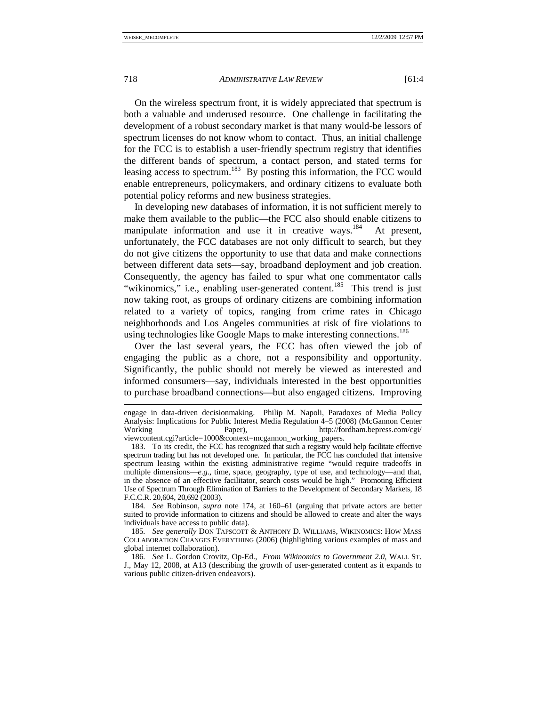On the wireless spectrum front, it is widely appreciated that spectrum is both a valuable and underused resource. One challenge in facilitating the development of a robust secondary market is that many would-be lessors of spectrum licenses do not know whom to contact. Thus, an initial challenge for the FCC is to establish a user-friendly spectrum registry that identifies the different bands of spectrum, a contact person, and stated terms for leasing access to spectrum.<sup>183</sup> By posting this information, the FCC would enable entrepreneurs, policymakers, and ordinary citizens to evaluate both potential policy reforms and new business strategies.

In developing new databases of information, it is not sufficient merely to make them available to the public—the FCC also should enable citizens to manipulate information and use it in creative ways.<sup>184</sup> At present, unfortunately, the FCC databases are not only difficult to search, but they do not give citizens the opportunity to use that data and make connections between different data sets—say, broadband deployment and job creation. Consequently, the agency has failed to spur what one commentator calls "wikinomics," i.e., enabling user-generated content.<sup>185</sup> This trend is just now taking root, as groups of ordinary citizens are combining information related to a variety of topics, ranging from crime rates in Chicago neighborhoods and Los Angeles communities at risk of fire violations to using technologies like Google Maps to make interesting connections.<sup>186</sup>

Over the last several years, the FCC has often viewed the job of engaging the public as a chore, not a responsibility and opportunity. Significantly, the public should not merely be viewed as interested and informed consumers—say, individuals interested in the best opportunities to purchase broadband connections—but also engaged citizens. Improving

184*. See* Robinson, *supra* note 174, at 160–61 (arguing that private actors are better suited to provide information to citizens and should be allowed to create and alter the ways individuals have access to public data).

185*. See generally* DON TAPSCOTT & ANTHONY D. WILLIAMS, WIKINOMICS: HOW MASS COLLABORATION CHANGES EVERYTHING (2006) (highlighting various examples of mass and global internet collaboration).

engage in data-driven decisionmaking. Philip M. Napoli, Paradoxes of Media Policy Analysis: Implications for Public Interest Media Regulation 4–5 (2008) (McGannon Center Working Paper), http://fordham.bepress.com/cgi/ viewcontent.cgi?article=1000&context=mcgannon\_working\_papers.

 <sup>183.</sup> To its credit, the FCC has recognized that such a registry would help facilitate effective spectrum trading but has not developed one. In particular, the FCC has concluded that intensive spectrum leasing within the existing administrative regime "would require tradeoffs in multiple dimensions—*e.g*., time, space, geography, type of use, and technology—and that, in the absence of an effective facilitator, search costs would be high." Promoting Efficient Use of Spectrum Through Elimination of Barriers to the Development of Secondary Markets, 18 F.C.C.R. 20,604, 20,692 (2003).

<sup>186</sup>*. See* L. Gordon Crovitz, Op-Ed., *From Wikinomics to Government 2.0*, WALL ST. J., May 12, 2008, at A13 (describing the growth of user-generated content as it expands to various public citizen-driven endeavors).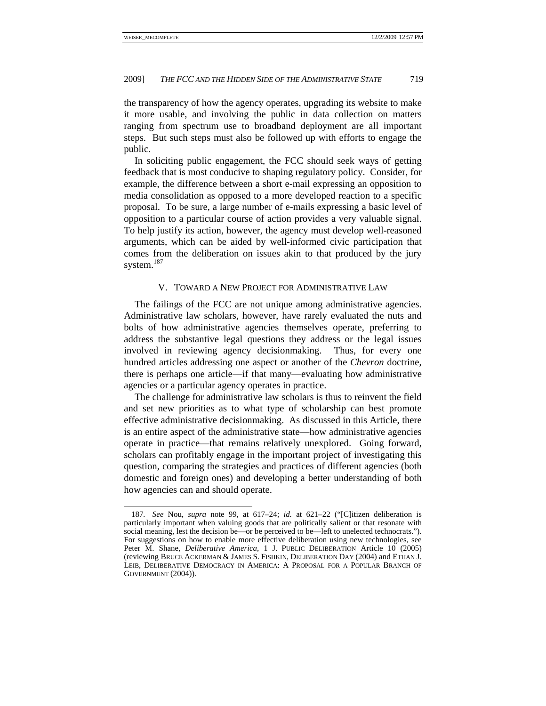the transparency of how the agency operates, upgrading its website to make it more usable, and involving the public in data collection on matters ranging from spectrum use to broadband deployment are all important steps. But such steps must also be followed up with efforts to engage the public.

In soliciting public engagement, the FCC should seek ways of getting feedback that is most conducive to shaping regulatory policy. Consider, for example, the difference between a short e-mail expressing an opposition to media consolidation as opposed to a more developed reaction to a specific proposal. To be sure, a large number of e-mails expressing a basic level of opposition to a particular course of action provides a very valuable signal. To help justify its action, however, the agency must develop well-reasoned arguments, which can be aided by well-informed civic participation that comes from the deliberation on issues akin to that produced by the jury system.<sup>187</sup>

# V. TOWARD A NEW PROJECT FOR ADMINISTRATIVE LAW

The failings of the FCC are not unique among administrative agencies. Administrative law scholars, however, have rarely evaluated the nuts and bolts of how administrative agencies themselves operate, preferring to address the substantive legal questions they address or the legal issues involved in reviewing agency decisionmaking. Thus, for every one hundred articles addressing one aspect or another of the *Chevron* doctrine, there is perhaps one article—if that many—evaluating how administrative agencies or a particular agency operates in practice.

The challenge for administrative law scholars is thus to reinvent the field and set new priorities as to what type of scholarship can best promote effective administrative decisionmaking. As discussed in this Article, there is an entire aspect of the administrative state—how administrative agencies operate in practice—that remains relatively unexplored. Going forward, scholars can profitably engage in the important project of investigating this question, comparing the strategies and practices of different agencies (both domestic and foreign ones) and developing a better understanding of both how agencies can and should operate.

<sup>187</sup>*. See* Nou, *supra* note 99, at 617–24; *id.* at 621–22 ("[C]itizen deliberation is particularly important when valuing goods that are politically salient or that resonate with social meaning, lest the decision be—or be perceived to be—left to unelected technocrats."). For suggestions on how to enable more effective deliberation using new technologies, see Peter M. Shane, *Deliberative America*, 1 J. PUBLIC DELIBERATION Article 10 (2005) (reviewing BRUCE ACKERMAN & JAMES S. FISHKIN, DELIBERATION DAY (2004) and ETHAN J. LEIB, DELIBERATIVE DEMOCRACY IN AMERICA: A PROPOSAL FOR A POPULAR BRANCH OF GOVERNMENT (2004)).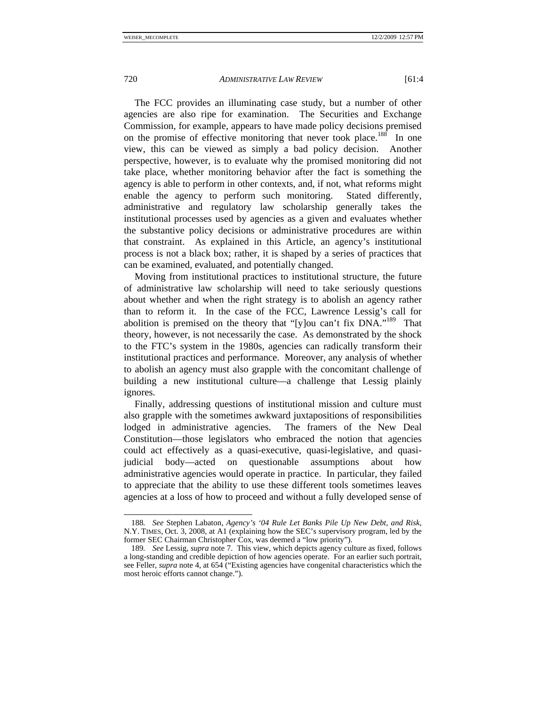The FCC provides an illuminating case study, but a number of other agencies are also ripe for examination. The Securities and Exchange Commission, for example, appears to have made policy decisions premised on the promise of effective monitoring that never took place.<sup>188</sup> In one view, this can be viewed as simply a bad policy decision. Another perspective, however, is to evaluate why the promised monitoring did not take place, whether monitoring behavior after the fact is something the agency is able to perform in other contexts, and, if not, what reforms might enable the agency to perform such monitoring. Stated differently, administrative and regulatory law scholarship generally takes the institutional processes used by agencies as a given and evaluates whether the substantive policy decisions or administrative procedures are within that constraint. As explained in this Article, an agency's institutional process is not a black box; rather, it is shaped by a series of practices that can be examined, evaluated, and potentially changed.

Moving from institutional practices to institutional structure, the future of administrative law scholarship will need to take seriously questions about whether and when the right strategy is to abolish an agency rather than to reform it. In the case of the FCC, Lawrence Lessig's call for abolition is premised on the theory that "[y]ou can't fix DNA."189 That theory, however, is not necessarily the case. As demonstrated by the shock to the FTC's system in the 1980s, agencies can radically transform their institutional practices and performance. Moreover, any analysis of whether to abolish an agency must also grapple with the concomitant challenge of building a new institutional culture—a challenge that Lessig plainly ignores.

Finally, addressing questions of institutional mission and culture must also grapple with the sometimes awkward juxtapositions of responsibilities lodged in administrative agencies. The framers of the New Deal Constitution—those legislators who embraced the notion that agencies could act effectively as a quasi-executive, quasi-legislative, and quasijudicial body—acted on questionable assumptions about how administrative agencies would operate in practice. In particular, they failed to appreciate that the ability to use these different tools sometimes leaves agencies at a loss of how to proceed and without a fully developed sense of

<sup>188</sup>*. See* Stephen Labaton, *Agency's '04 Rule Let Banks Pile Up New Debt, and Risk*, N.Y. TIMES, Oct. 3, 2008, at A1 (explaining how the SEC's supervisory program, led by the former SEC Chairman Christopher Cox, was deemed a "low priority").

<sup>189</sup>*. See* Lessig, *supra* note 7. This view, which depicts agency culture as fixed, follows a long-standing and credible depiction of how agencies operate. For an earlier such portrait, see Feller, *supra* note 4, at 654 ("Existing agencies have congenital characteristics which the most heroic efforts cannot change.").